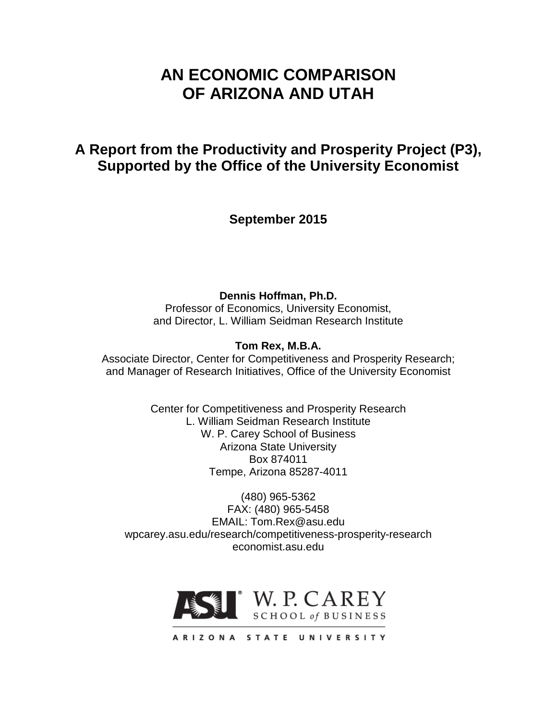# **AN ECONOMIC COMPARISON OF ARIZONA AND UTAH**

# **A Report from the Productivity and Prosperity Project (P3), Supported by the Office of the University Economist**

**September 2015**

**Dennis Hoffman, Ph.D.**

Professor of Economics, University Economist, and Director, L. William Seidman Research Institute

## **Tom Rex, M.B.A.**

Associate Director, Center for Competitiveness and Prosperity Research; and Manager of Research Initiatives, Office of the University Economist

> Center for Competitiveness and Prosperity Research L. William Seidman Research Institute W. P. Carey School of Business Arizona State University Box 874011 Tempe, Arizona 85287-4011

(480) 965-5362 FAX: (480) 965-5458 EMAIL: Tom.Rex@asu.edu wpcarey.asu.edu/research/competitiveness-prosperity-research economist.asu.edu



ARIZONA STATE UNIVERSITY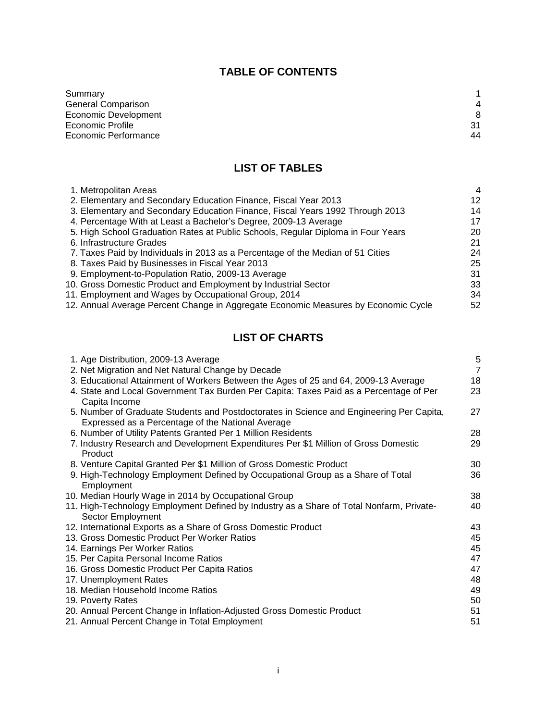## **TABLE OF CONTENTS**

| Summary              |    |
|----------------------|----|
| General Comparison   | 4  |
| Economic Development | 8  |
| Economic Profile     | 31 |
| Economic Performance | 44 |
|                      |    |

# **LIST OF TABLES**

| 1. Metropolitan Areas                                                              | $\overline{4}$ |
|------------------------------------------------------------------------------------|----------------|
| 2. Elementary and Secondary Education Finance, Fiscal Year 2013                    | 12             |
| 3. Elementary and Secondary Education Finance, Fiscal Years 1992 Through 2013      | 14             |
| 4. Percentage With at Least a Bachelor's Degree, 2009-13 Average                   | 17             |
| 5. High School Graduation Rates at Public Schools, Regular Diploma in Four Years   | 20             |
| 6. Infrastructure Grades                                                           | 21             |
| 7. Taxes Paid by Individuals in 2013 as a Percentage of the Median of 51 Cities    | 24             |
| 8. Taxes Paid by Businesses in Fiscal Year 2013                                    | 25             |
| 9. Employment-to-Population Ratio, 2009-13 Average                                 | 31             |
| 10. Gross Domestic Product and Employment by Industrial Sector                     | 33             |
| 11. Employment and Wages by Occupational Group, 2014                               | 34             |
| 12. Annual Average Percent Change in Aggregate Economic Measures by Economic Cycle | 52             |
|                                                                                    |                |

## **LIST OF CHARTS**

| 1. Age Distribution, 2009-13 Average                                                     | $\sqrt{5}$     |
|------------------------------------------------------------------------------------------|----------------|
| 2. Net Migration and Net Natural Change by Decade                                        | $\overline{7}$ |
| 3. Educational Attainment of Workers Between the Ages of 25 and 64, 2009-13 Average      | 18             |
| 4. State and Local Government Tax Burden Per Capita: Taxes Paid as a Percentage of Per   | 23             |
| Capita Income                                                                            |                |
| 5. Number of Graduate Students and Postdoctorates in Science and Engineering Per Capita, | 27             |
| Expressed as a Percentage of the National Average                                        |                |
| 6. Number of Utility Patents Granted Per 1 Million Residents                             | 28             |
| 7. Industry Research and Development Expenditures Per \$1 Million of Gross Domestic      | 29             |
| Product                                                                                  |                |
| 8. Venture Capital Granted Per \$1 Million of Gross Domestic Product                     | 30             |
| 9. High-Technology Employment Defined by Occupational Group as a Share of Total          | 36             |
| Employment                                                                               |                |
| 10. Median Hourly Wage in 2014 by Occupational Group                                     | 38             |
| 11. High-Technology Employment Defined by Industry as a Share of Total Nonfarm, Private- | 40             |
| Sector Employment                                                                        |                |
| 12. International Exports as a Share of Gross Domestic Product                           | 43             |
| 13. Gross Domestic Product Per Worker Ratios                                             | 45             |
| 14. Earnings Per Worker Ratios                                                           | 45             |
| 15. Per Capita Personal Income Ratios                                                    | 47             |
| 16. Gross Domestic Product Per Capita Ratios                                             | 47             |
| 17. Unemployment Rates                                                                   | 48             |
| 18. Median Household Income Ratios                                                       | 49             |
| 19. Poverty Rates                                                                        | 50             |
| 20. Annual Percent Change in Inflation-Adjusted Gross Domestic Product                   | 51             |
| 21. Annual Percent Change in Total Employment                                            | 51             |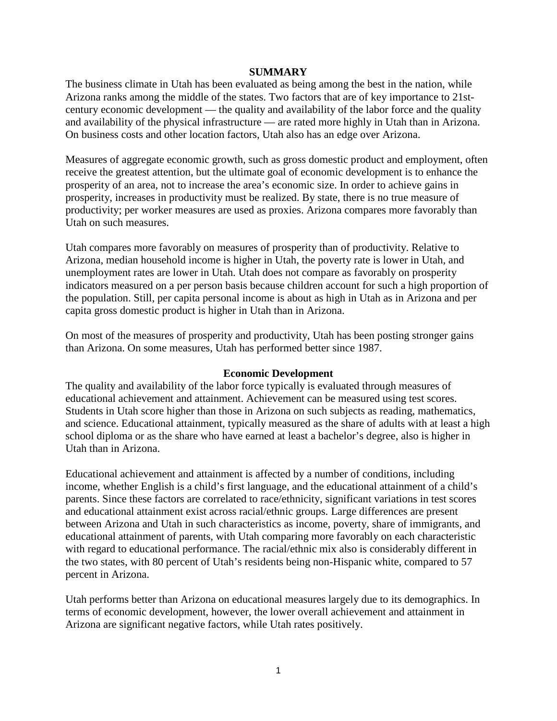#### **SUMMARY**

The business climate in Utah has been evaluated as being among the best in the nation, while Arizona ranks among the middle of the states. Two factors that are of key importance to 21stcentury economic development — the quality and availability of the labor force and the quality and availability of the physical infrastructure — are rated more highly in Utah than in Arizona. On business costs and other location factors, Utah also has an edge over Arizona.

Measures of aggregate economic growth, such as gross domestic product and employment, often receive the greatest attention, but the ultimate goal of economic development is to enhance the prosperity of an area, not to increase the area's economic size. In order to achieve gains in prosperity, increases in productivity must be realized. By state, there is no true measure of productivity; per worker measures are used as proxies. Arizona compares more favorably than Utah on such measures.

Utah compares more favorably on measures of prosperity than of productivity. Relative to Arizona, median household income is higher in Utah, the poverty rate is lower in Utah, and unemployment rates are lower in Utah. Utah does not compare as favorably on prosperity indicators measured on a per person basis because children account for such a high proportion of the population. Still, per capita personal income is about as high in Utah as in Arizona and per capita gross domestic product is higher in Utah than in Arizona.

On most of the measures of prosperity and productivity, Utah has been posting stronger gains than Arizona. On some measures, Utah has performed better since 1987.

#### **Economic Development**

The quality and availability of the labor force typically is evaluated through measures of educational achievement and attainment. Achievement can be measured using test scores. Students in Utah score higher than those in Arizona on such subjects as reading, mathematics, and science. Educational attainment, typically measured as the share of adults with at least a high school diploma or as the share who have earned at least a bachelor's degree, also is higher in Utah than in Arizona.

Educational achievement and attainment is affected by a number of conditions, including income, whether English is a child's first language, and the educational attainment of a child's parents. Since these factors are correlated to race/ethnicity, significant variations in test scores and educational attainment exist across racial/ethnic groups. Large differences are present between Arizona and Utah in such characteristics as income, poverty, share of immigrants, and educational attainment of parents, with Utah comparing more favorably on each characteristic with regard to educational performance. The racial/ethnic mix also is considerably different in the two states, with 80 percent of Utah's residents being non-Hispanic white, compared to 57 percent in Arizona.

Utah performs better than Arizona on educational measures largely due to its demographics. In terms of economic development, however, the lower overall achievement and attainment in Arizona are significant negative factors, while Utah rates positively.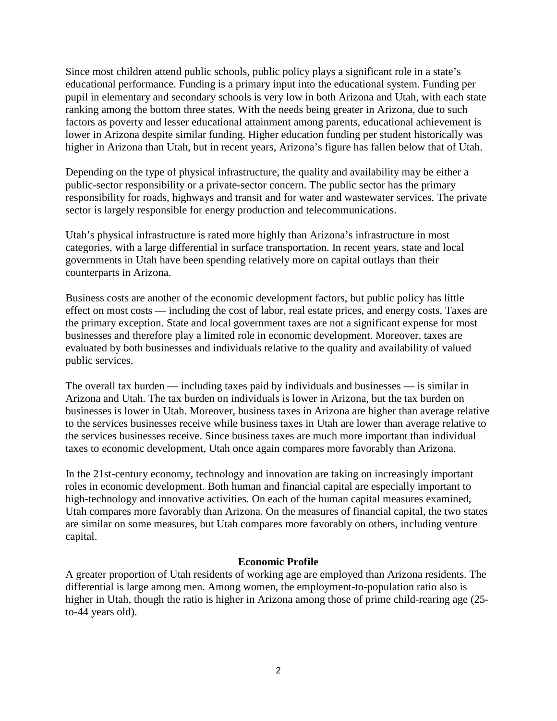Since most children attend public schools, public policy plays a significant role in a state's educational performance. Funding is a primary input into the educational system. Funding per pupil in elementary and secondary schools is very low in both Arizona and Utah, with each state ranking among the bottom three states. With the needs being greater in Arizona, due to such factors as poverty and lesser educational attainment among parents, educational achievement is lower in Arizona despite similar funding. Higher education funding per student historically was higher in Arizona than Utah, but in recent years, Arizona's figure has fallen below that of Utah.

Depending on the type of physical infrastructure, the quality and availability may be either a public-sector responsibility or a private-sector concern. The public sector has the primary responsibility for roads, highways and transit and for water and wastewater services. The private sector is largely responsible for energy production and telecommunications.

Utah's physical infrastructure is rated more highly than Arizona's infrastructure in most categories, with a large differential in surface transportation. In recent years, state and local governments in Utah have been spending relatively more on capital outlays than their counterparts in Arizona.

Business costs are another of the economic development factors, but public policy has little effect on most costs — including the cost of labor, real estate prices, and energy costs. Taxes are the primary exception. State and local government taxes are not a significant expense for most businesses and therefore play a limited role in economic development. Moreover, taxes are evaluated by both businesses and individuals relative to the quality and availability of valued public services.

The overall tax burden — including taxes paid by individuals and businesses — is similar in Arizona and Utah. The tax burden on individuals is lower in Arizona, but the tax burden on businesses is lower in Utah. Moreover, business taxes in Arizona are higher than average relative to the services businesses receive while business taxes in Utah are lower than average relative to the services businesses receive. Since business taxes are much more important than individual taxes to economic development, Utah once again compares more favorably than Arizona.

In the 21st-century economy, technology and innovation are taking on increasingly important roles in economic development. Both human and financial capital are especially important to high-technology and innovative activities. On each of the human capital measures examined, Utah compares more favorably than Arizona. On the measures of financial capital, the two states are similar on some measures, but Utah compares more favorably on others, including venture capital.

### **Economic Profile**

A greater proportion of Utah residents of working age are employed than Arizona residents. The differential is large among men. Among women, the employment-to-population ratio also is higher in Utah, though the ratio is higher in Arizona among those of prime child-rearing age (25 to-44 years old).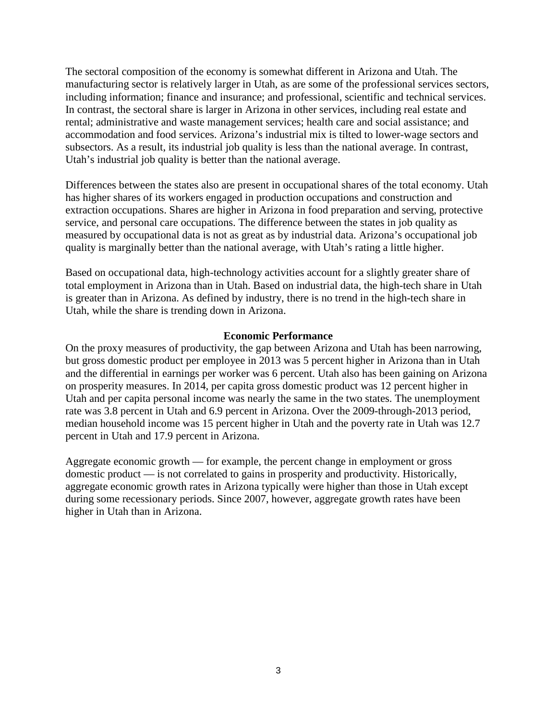The sectoral composition of the economy is somewhat different in Arizona and Utah. The manufacturing sector is relatively larger in Utah, as are some of the professional services sectors, including information; finance and insurance; and professional, scientific and technical services. In contrast, the sectoral share is larger in Arizona in other services, including real estate and rental; administrative and waste management services; health care and social assistance; and accommodation and food services. Arizona's industrial mix is tilted to lower-wage sectors and subsectors. As a result, its industrial job quality is less than the national average. In contrast, Utah's industrial job quality is better than the national average.

Differences between the states also are present in occupational shares of the total economy. Utah has higher shares of its workers engaged in production occupations and construction and extraction occupations. Shares are higher in Arizona in food preparation and serving, protective service, and personal care occupations. The difference between the states in job quality as measured by occupational data is not as great as by industrial data. Arizona's occupational job quality is marginally better than the national average, with Utah's rating a little higher.

Based on occupational data, high-technology activities account for a slightly greater share of total employment in Arizona than in Utah. Based on industrial data, the high-tech share in Utah is greater than in Arizona. As defined by industry, there is no trend in the high-tech share in Utah, while the share is trending down in Arizona.

#### **Economic Performance**

On the proxy measures of productivity, the gap between Arizona and Utah has been narrowing, but gross domestic product per employee in 2013 was 5 percent higher in Arizona than in Utah and the differential in earnings per worker was 6 percent. Utah also has been gaining on Arizona on prosperity measures. In 2014, per capita gross domestic product was 12 percent higher in Utah and per capita personal income was nearly the same in the two states. The unemployment rate was 3.8 percent in Utah and 6.9 percent in Arizona. Over the 2009-through-2013 period, median household income was 15 percent higher in Utah and the poverty rate in Utah was 12.7 percent in Utah and 17.9 percent in Arizona.

Aggregate economic growth — for example, the percent change in employment or gross domestic product — is not correlated to gains in prosperity and productivity. Historically, aggregate economic growth rates in Arizona typically were higher than those in Utah except during some recessionary periods. Since 2007, however, aggregate growth rates have been higher in Utah than in Arizona.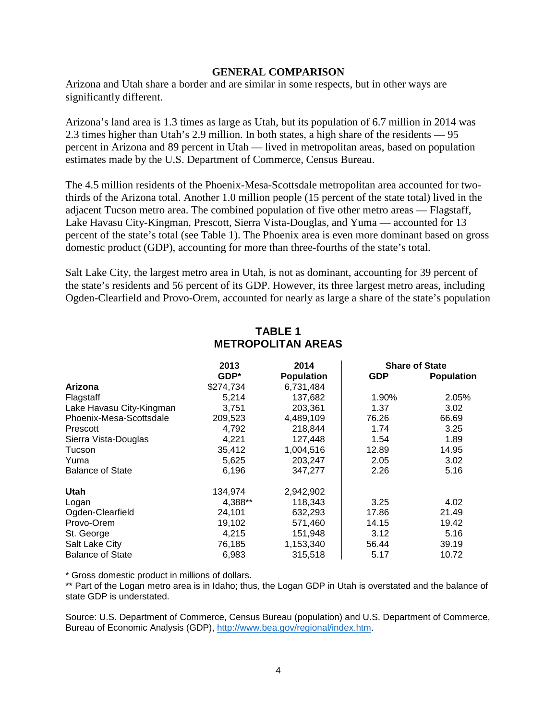#### **GENERAL COMPARISON**

Arizona and Utah share a border and are similar in some respects, but in other ways are significantly different.

Arizona's land area is 1.3 times as large as Utah, but its population of 6.7 million in 2014 was 2.3 times higher than Utah's 2.9 million. In both states, a high share of the residents — 95 percent in Arizona and 89 percent in Utah — lived in metropolitan areas, based on population estimates made by the U.S. Department of Commerce, Census Bureau.

The 4.5 million residents of the Phoenix-Mesa-Scottsdale metropolitan area accounted for twothirds of the Arizona total. Another 1.0 million people (15 percent of the state total) lived in the adjacent Tucson metro area. The combined population of five other metro areas — Flagstaff, Lake Havasu City-Kingman, Prescott, Sierra Vista-Douglas, and Yuma — accounted for 13 percent of the state's total (see Table 1). The Phoenix area is even more dominant based on gross domestic product (GDP), accounting for more than three-fourths of the state's total.

Salt Lake City, the largest metro area in Utah, is not as dominant, accounting for 39 percent of the state's residents and 56 percent of its GDP. However, its three largest metro areas, including Ogden-Clearfield and Provo-Orem, accounted for nearly as large a share of the state's population

|                          | 2013      | 2014              |            | <b>Share of State</b> |
|--------------------------|-----------|-------------------|------------|-----------------------|
|                          | $GDP*$    | <b>Population</b> | <b>GDP</b> | <b>Population</b>     |
| Arizona                  | \$274,734 | 6,731,484         |            |                       |
| Flagstaff                | 5,214     | 137,682           | 1.90%      | 2.05%                 |
| Lake Havasu City-Kingman | 3,751     | 203,361           | 1.37       | 3.02                  |
| Phoenix-Mesa-Scottsdale  | 209,523   | 4,489,109         | 76.26      | 66.69                 |
| Prescott                 | 4,792     | 218,844           | 1.74       | 3.25                  |
| Sierra Vista-Douglas     | 4,221     | 127,448           | 1.54       | 1.89                  |
| Tucson                   | 35,412    | 1,004,516         | 12.89      | 14.95                 |
| Yuma                     | 5,625     | 203,247           | 2.05       | 3.02                  |
| <b>Balance of State</b>  | 6,196     | 347,277           | 2.26       | 5.16                  |
| Utah                     | 134,974   | 2,942,902         |            |                       |
| Logan                    | 4,388**   | 118,343           | 3.25       | 4.02                  |
| Ogden-Clearfield         | 24,101    | 632,293           | 17.86      | 21.49                 |
| Provo-Orem               | 19,102    | 571,460           | 14.15      | 19.42                 |
| St. George               | 4,215     | 151,948           | 3.12       | 5.16                  |
| Salt Lake City           | 76,185    | 1,153,340         | 56.44      | 39.19                 |
| <b>Balance of State</b>  | 6,983     | 315,518           | 5.17       | 10.72                 |

## **TABLE 1 METROPOLITAN AREAS**

\* Gross domestic product in millions of dollars.

\*\* Part of the Logan metro area is in Idaho; thus, the Logan GDP in Utah is overstated and the balance of state GDP is understated.

Source: U.S. Department of Commerce, Census Bureau (population) and U.S. Department of Commerce, Bureau of Economic Analysis (GDP), [http://www.bea.gov/regional/index.htm.](http://www.bea.gov/regional/index.htm)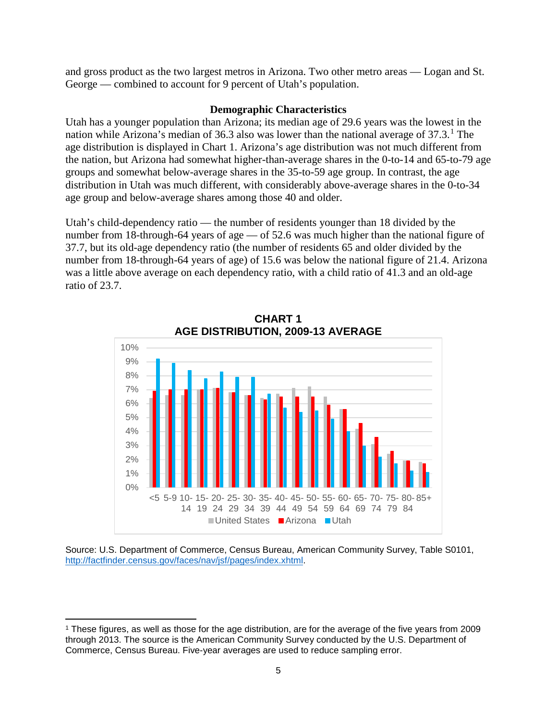and gross product as the two largest metros in Arizona. Two other metro areas — Logan and St. George — combined to account for 9 percent of Utah's population.

#### **Demographic Characteristics**

Utah has a younger population than Arizona; its median age of 29.6 years was the lowest in the nation while Arizona's median of 36.3 also was lower than the national average of 37.3.<sup>[1](#page-6-0)</sup> The age distribution is displayed in Chart 1. Arizona's age distribution was not much different from the nation, but Arizona had somewhat higher-than-average shares in the 0-to-14 and 65-to-79 age groups and somewhat below-average shares in the 35-to-59 age group. In contrast, the age distribution in Utah was much different, with considerably above-average shares in the 0-to-34 age group and below-average shares among those 40 and older.

Utah's child-dependency ratio — the number of residents younger than 18 divided by the number from 18-through-64 years of age — of 52.6 was much higher than the national figure of 37.7, but its old-age dependency ratio (the number of residents 65 and older divided by the number from 18-through-64 years of age) of 15.6 was below the national figure of 21.4. Arizona was a little above average on each dependency ratio, with a child ratio of 41.3 and an old-age ratio of 23.7.



**CHART 1 AGE DISTRIBUTION, 2009-13 AVERAGE**

Source: U.S. Department of Commerce, Census Bureau, American Community Survey, Table S0101, [http://factfinder.census.gov/faces/nav/jsf/pages/index.xhtml.](http://factfinder.census.gov/faces/nav/jsf/pages/index.xhtml)

 $\overline{\phantom{a}}$ 

<span id="page-6-0"></span><sup>1</sup> These figures, as well as those for the age distribution, are for the average of the five years from 2009 through 2013. The source is the American Community Survey conducted by the U.S. Department of Commerce, Census Bureau. Five-year averages are used to reduce sampling error.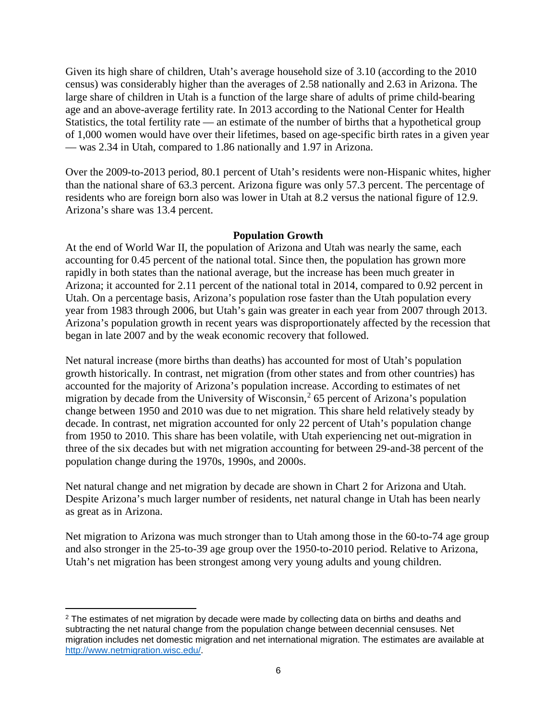Given its high share of children, Utah's average household size of 3.10 (according to the 2010 census) was considerably higher than the averages of 2.58 nationally and 2.63 in Arizona. The large share of children in Utah is a function of the large share of adults of prime child-bearing age and an above-average fertility rate. In 2013 according to the National Center for Health Statistics, the total fertility rate — an estimate of the number of births that a hypothetical group of 1,000 women would have over their lifetimes, based on age-specific birth rates in a given year — was 2.34 in Utah, compared to 1.86 nationally and 1.97 in Arizona.

Over the 2009-to-2013 period, 80.1 percent of Utah's residents were non-Hispanic whites, higher than the national share of 63.3 percent. Arizona figure was only 57.3 percent. The percentage of residents who are foreign born also was lower in Utah at 8.2 versus the national figure of 12.9. Arizona's share was 13.4 percent.

## **Population Growth**

At the end of World War II, the population of Arizona and Utah was nearly the same, each accounting for 0.45 percent of the national total. Since then, the population has grown more rapidly in both states than the national average, but the increase has been much greater in Arizona; it accounted for 2.11 percent of the national total in 2014, compared to 0.92 percent in Utah. On a percentage basis, Arizona's population rose faster than the Utah population every year from 1983 through 2006, but Utah's gain was greater in each year from 2007 through 2013. Arizona's population growth in recent years was disproportionately affected by the recession that began in late 2007 and by the weak economic recovery that followed.

Net natural increase (more births than deaths) has accounted for most of Utah's population growth historically. In contrast, net migration (from other states and from other countries) has accounted for the majority of Arizona's population increase. According to estimates of net migration by decade from the University of Wisconsin,<sup>[2](#page-7-0)</sup> 65 percent of Arizona's population change between 1950 and 2010 was due to net migration. This share held relatively steady by decade. In contrast, net migration accounted for only 22 percent of Utah's population change from 1950 to 2010. This share has been volatile, with Utah experiencing net out-migration in three of the six decades but with net migration accounting for between 29-and-38 percent of the population change during the 1970s, 1990s, and 2000s.

Net natural change and net migration by decade are shown in Chart 2 for Arizona and Utah. Despite Arizona's much larger number of residents, net natural change in Utah has been nearly as great as in Arizona.

Net migration to Arizona was much stronger than to Utah among those in the 60-to-74 age group and also stronger in the 25-to-39 age group over the 1950-to-2010 period. Relative to Arizona, Utah's net migration has been strongest among very young adults and young children.

<span id="page-7-0"></span>l <sup>2</sup> The estimates of net migration by decade were made by collecting data on births and deaths and subtracting the net natural change from the population change between decennial censuses. Net migration includes net domestic migration and net international migration. The estimates are available at [http://www.netmigration.wisc.edu/.](http://www.netmigration.wisc.edu/)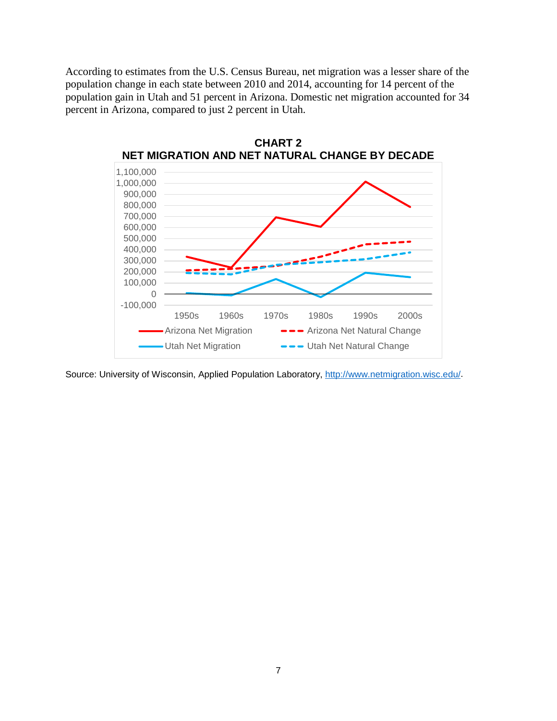According to estimates from the U.S. Census Bureau, net migration was a lesser share of the population change in each state between 2010 and 2014, accounting for 14 percent of the population gain in Utah and 51 percent in Arizona. Domestic net migration accounted for 34 percent in Arizona, compared to just 2 percent in Utah.



**CHART 2**

Source: University of Wisconsin, Applied Population Laboratory, [http://www.netmigration.wisc.edu/.](http://www.netmigration.wisc.edu/)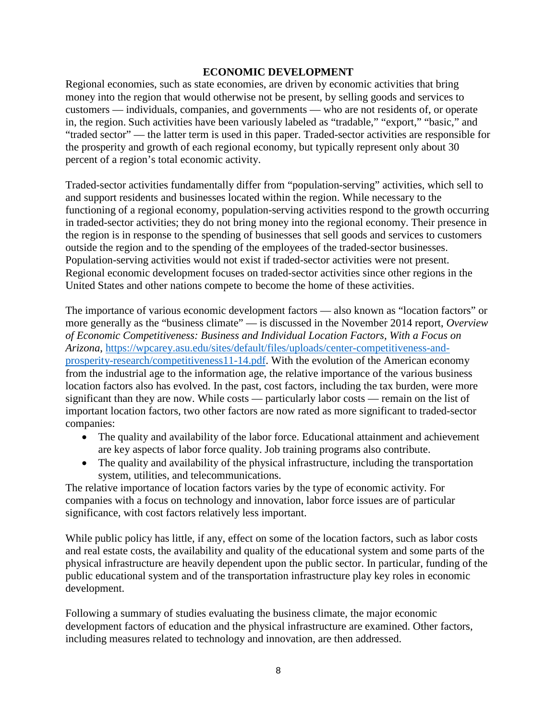#### **ECONOMIC DEVELOPMENT**

Regional economies, such as state economies, are driven by economic activities that bring money into the region that would otherwise not be present, by selling goods and services to customers — individuals, companies, and governments — who are not residents of, or operate in, the region. Such activities have been variously labeled as "tradable," "export," "basic," and "traded sector" — the latter term is used in this paper. Traded-sector activities are responsible for the prosperity and growth of each regional economy, but typically represent only about 30 percent of a region's total economic activity.

Traded-sector activities fundamentally differ from "population-serving" activities, which sell to and support residents and businesses located within the region. While necessary to the functioning of a regional economy, population-serving activities respond to the growth occurring in traded-sector activities; they do not bring money into the regional economy. Their presence in the region is in response to the spending of businesses that sell goods and services to customers outside the region and to the spending of the employees of the traded-sector businesses. Population-serving activities would not exist if traded-sector activities were not present. Regional economic development focuses on traded-sector activities since other regions in the United States and other nations compete to become the home of these activities.

The importance of various economic development factors — also known as "location factors" or more generally as the "business climate" — is discussed in the November 2014 report, *Overview of Economic Competitiveness: Business and Individual Location Factors, With a Focus on Arizona*, [https://wpcarey.asu.edu/sites/default/files/uploads/center-competitiveness-and](https://wpcarey.asu.edu/sites/default/files/uploads/center-competitiveness-and-prosperity-research/competitiveness11-14.pdf)[prosperity-research/competitiveness11-14.pdf.](https://wpcarey.asu.edu/sites/default/files/uploads/center-competitiveness-and-prosperity-research/competitiveness11-14.pdf) With the evolution of the American economy from the industrial age to the information age, the relative importance of the various business location factors also has evolved. In the past, cost factors, including the tax burden, were more significant than they are now. While costs — particularly labor costs — remain on the list of important location factors, two other factors are now rated as more significant to traded-sector companies:

- The quality and availability of the labor force. Educational attainment and achievement are key aspects of labor force quality. Job training programs also contribute.
- The quality and availability of the physical infrastructure, including the transportation system, utilities, and telecommunications.

The relative importance of location factors varies by the type of economic activity. For companies with a focus on technology and innovation, labor force issues are of particular significance, with cost factors relatively less important.

While public policy has little, if any, effect on some of the location factors, such as labor costs and real estate costs, the availability and quality of the educational system and some parts of the physical infrastructure are heavily dependent upon the public sector. In particular, funding of the public educational system and of the transportation infrastructure play key roles in economic development.

Following a summary of studies evaluating the business climate, the major economic development factors of education and the physical infrastructure are examined. Other factors, including measures related to technology and innovation, are then addressed.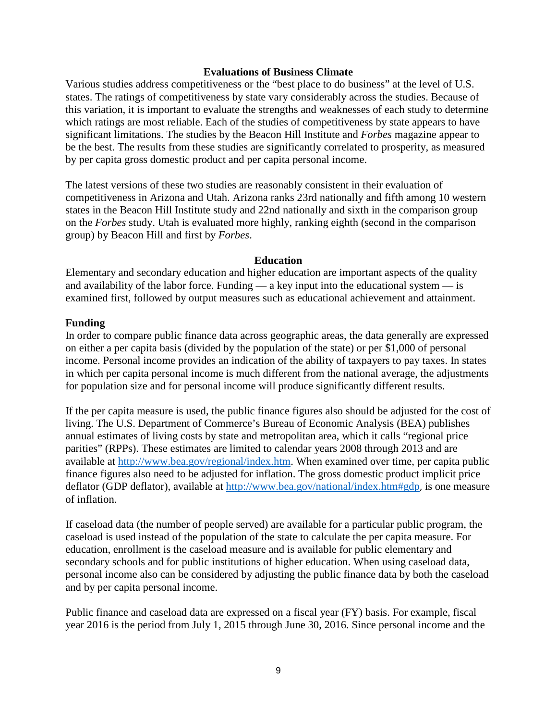#### **Evaluations of Business Climate**

Various studies address competitiveness or the "best place to do business" at the level of U.S. states. The ratings of competitiveness by state vary considerably across the studies. Because of this variation, it is important to evaluate the strengths and weaknesses of each study to determine which ratings are most reliable. Each of the studies of competitiveness by state appears to have significant limitations. The studies by the Beacon Hill Institute and *Forbes* magazine appear to be the best. The results from these studies are significantly correlated to prosperity, as measured by per capita gross domestic product and per capita personal income.

The latest versions of these two studies are reasonably consistent in their evaluation of competitiveness in Arizona and Utah. Arizona ranks 23rd nationally and fifth among 10 western states in the Beacon Hill Institute study and 22nd nationally and sixth in the comparison group on the *Forbes* study. Utah is evaluated more highly, ranking eighth (second in the comparison group) by Beacon Hill and first by *Forbes*.

#### **Education**

Elementary and secondary education and higher education are important aspects of the quality and availability of the labor force. Funding  $-$  a key input into the educational system  $-$  is examined first, followed by output measures such as educational achievement and attainment.

### **Funding**

In order to compare public finance data across geographic areas, the data generally are expressed on either a per capita basis (divided by the population of the state) or per \$1,000 of personal income. Personal income provides an indication of the ability of taxpayers to pay taxes. In states in which per capita personal income is much different from the national average, the adjustments for population size and for personal income will produce significantly different results.

If the per capita measure is used, the public finance figures also should be adjusted for the cost of living. The U.S. Department of Commerce's Bureau of Economic Analysis (BEA) publishes annual estimates of living costs by state and metropolitan area, which it calls "regional price parities" (RPPs). These estimates are limited to calendar years 2008 through 2013 and are available at [http://www.bea.gov/regional/index.htm.](http://www.bea.gov/regional/index.htm) When examined over time, per capita public finance figures also need to be adjusted for inflation. The gross domestic product implicit price deflator (GDP deflator), available at [http://www.bea.gov/national/index.htm#gdp](http://www.bea.gov/national/index.htm%23gdp), is one measure of inflation.

If caseload data (the number of people served) are available for a particular public program, the caseload is used instead of the population of the state to calculate the per capita measure. For education, enrollment is the caseload measure and is available for public elementary and secondary schools and for public institutions of higher education. When using caseload data, personal income also can be considered by adjusting the public finance data by both the caseload and by per capita personal income.

Public finance and caseload data are expressed on a fiscal year (FY) basis. For example, fiscal year 2016 is the period from July 1, 2015 through June 30, 2016. Since personal income and the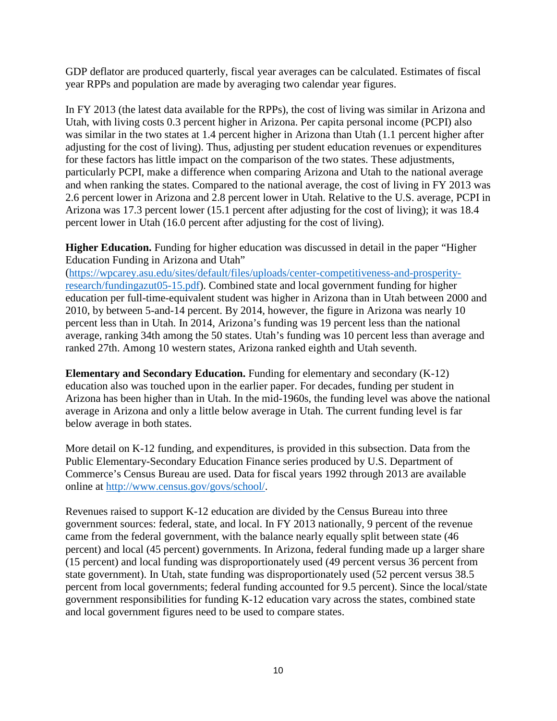GDP deflator are produced quarterly, fiscal year averages can be calculated. Estimates of fiscal year RPPs and population are made by averaging two calendar year figures.

In FY 2013 (the latest data available for the RPPs), the cost of living was similar in Arizona and Utah, with living costs 0.3 percent higher in Arizona. Per capita personal income (PCPI) also was similar in the two states at 1.4 percent higher in Arizona than Utah (1.1 percent higher after adjusting for the cost of living). Thus, adjusting per student education revenues or expenditures for these factors has little impact on the comparison of the two states. These adjustments, particularly PCPI, make a difference when comparing Arizona and Utah to the national average and when ranking the states. Compared to the national average, the cost of living in FY 2013 was 2.6 percent lower in Arizona and 2.8 percent lower in Utah. Relative to the U.S. average, PCPI in Arizona was 17.3 percent lower (15.1 percent after adjusting for the cost of living); it was 18.4 percent lower in Utah (16.0 percent after adjusting for the cost of living).

**Higher Education.** Funding for higher education was discussed in detail in the paper "Higher Education Funding in Arizona and Utah"

[\(https://wpcarey.asu.edu/sites/default/files/uploads/center-competitiveness-and-prosperity](https://wpcarey.asu.edu/sites/default/files/uploads/center-competitiveness-and-prosperity-research/fundingazut05-15.pdf)[research/fundingazut05-15.pdf\)](https://wpcarey.asu.edu/sites/default/files/uploads/center-competitiveness-and-prosperity-research/fundingazut05-15.pdf). Combined state and local government funding for higher education per full-time-equivalent student was higher in Arizona than in Utah between 2000 and 2010, by between 5-and-14 percent. By 2014, however, the figure in Arizona was nearly 10 percent less than in Utah. In 2014, Arizona's funding was 19 percent less than the national average, ranking 34th among the 50 states. Utah's funding was 10 percent less than average and ranked 27th. Among 10 western states, Arizona ranked eighth and Utah seventh.

**Elementary and Secondary Education.** Funding for elementary and secondary (K-12) education also was touched upon in the earlier paper. For decades, funding per student in Arizona has been higher than in Utah. In the mid-1960s, the funding level was above the national average in Arizona and only a little below average in Utah. The current funding level is far below average in both states.

More detail on K-12 funding, and expenditures, is provided in this subsection. Data from the Public Elementary-Secondary Education Finance series produced by U.S. Department of Commerce's Census Bureau are used. Data for fiscal years 1992 through 2013 are available online at [http://www.census.gov/govs/school/.](http://www.census.gov/govs/school/)

Revenues raised to support K-12 education are divided by the Census Bureau into three government sources: federal, state, and local. In FY 2013 nationally, 9 percent of the revenue came from the federal government, with the balance nearly equally split between state (46 percent) and local (45 percent) governments. In Arizona, federal funding made up a larger share (15 percent) and local funding was disproportionately used (49 percent versus 36 percent from state government). In Utah, state funding was disproportionately used (52 percent versus 38.5 percent from local governments; federal funding accounted for 9.5 percent). Since the local/state government responsibilities for funding K-12 education vary across the states, combined state and local government figures need to be used to compare states.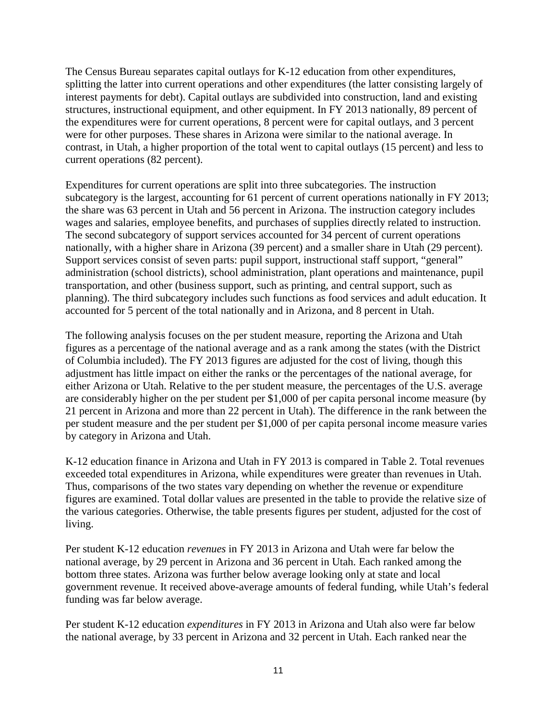The Census Bureau separates capital outlays for K-12 education from other expenditures, splitting the latter into current operations and other expenditures (the latter consisting largely of interest payments for debt). Capital outlays are subdivided into construction, land and existing structures, instructional equipment, and other equipment. In FY 2013 nationally, 89 percent of the expenditures were for current operations, 8 percent were for capital outlays, and 3 percent were for other purposes. These shares in Arizona were similar to the national average. In contrast, in Utah, a higher proportion of the total went to capital outlays (15 percent) and less to current operations (82 percent).

Expenditures for current operations are split into three subcategories. The instruction subcategory is the largest, accounting for 61 percent of current operations nationally in FY 2013; the share was 63 percent in Utah and 56 percent in Arizona. The instruction category includes wages and salaries, employee benefits, and purchases of supplies directly related to instruction. The second subcategory of support services accounted for 34 percent of current operations nationally, with a higher share in Arizona (39 percent) and a smaller share in Utah (29 percent). Support services consist of seven parts: pupil support, instructional staff support, "general" administration (school districts), school administration, plant operations and maintenance, pupil transportation, and other (business support, such as printing, and central support, such as planning). The third subcategory includes such functions as food services and adult education. It accounted for 5 percent of the total nationally and in Arizona, and 8 percent in Utah.

The following analysis focuses on the per student measure, reporting the Arizona and Utah figures as a percentage of the national average and as a rank among the states (with the District of Columbia included). The FY 2013 figures are adjusted for the cost of living, though this adjustment has little impact on either the ranks or the percentages of the national average, for either Arizona or Utah. Relative to the per student measure, the percentages of the U.S. average are considerably higher on the per student per \$1,000 of per capita personal income measure (by 21 percent in Arizona and more than 22 percent in Utah). The difference in the rank between the per student measure and the per student per \$1,000 of per capita personal income measure varies by category in Arizona and Utah.

K-12 education finance in Arizona and Utah in FY 2013 is compared in Table 2. Total revenues exceeded total expenditures in Arizona, while expenditures were greater than revenues in Utah. Thus, comparisons of the two states vary depending on whether the revenue or expenditure figures are examined. Total dollar values are presented in the table to provide the relative size of the various categories. Otherwise, the table presents figures per student, adjusted for the cost of living.

Per student K-12 education *revenues* in FY 2013 in Arizona and Utah were far below the national average, by 29 percent in Arizona and 36 percent in Utah. Each ranked among the bottom three states. Arizona was further below average looking only at state and local government revenue. It received above-average amounts of federal funding, while Utah's federal funding was far below average.

Per student K-12 education *expenditures* in FY 2013 in Arizona and Utah also were far below the national average, by 33 percent in Arizona and 32 percent in Utah. Each ranked near the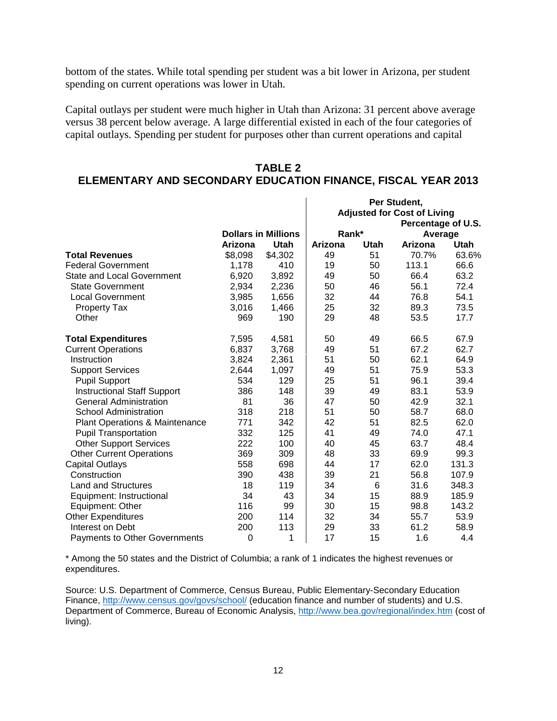bottom of the states. While total spending per student was a bit lower in Arizona, per student spending on current operations was lower in Utah.

Capital outlays per student were much higher in Utah than Arizona: 31 percent above average versus 38 percent below average. A large differential existed in each of the four categories of capital outlays. Spending per student for purposes other than current operations and capital

## **TABLE 2**

## **ELEMENTARY AND SECONDARY EDUCATION FINANCE, FISCAL YEAR 2013**

|                                           |         |                            | Per Student, |      |                                    |       |
|-------------------------------------------|---------|----------------------------|--------------|------|------------------------------------|-------|
|                                           |         |                            |              |      | <b>Adjusted for Cost of Living</b> |       |
|                                           |         |                            |              |      | Percentage of U.S.                 |       |
|                                           |         | <b>Dollars in Millions</b> | Rank*        |      | Average                            |       |
|                                           | Arizona | Utah                       | Arizona      | Utah | Arizona                            | Utah  |
| <b>Total Revenues</b>                     | \$8,098 | \$4,302                    | 49           | 51   | 70.7%                              | 63.6% |
| <b>Federal Government</b>                 | 1,178   | 410                        | 19           | 50   | 113.1                              | 66.6  |
| <b>State and Local Government</b>         | 6,920   | 3,892                      | 49           | 50   | 66.4                               | 63.2  |
| <b>State Government</b>                   | 2,934   | 2,236                      | 50           | 46   | 56.1                               | 72.4  |
| <b>Local Government</b>                   | 3,985   | 1,656                      | 32           | 44   | 76.8                               | 54.1  |
| <b>Property Tax</b>                       | 3,016   | 1,466                      | 25           | 32   | 89.3                               | 73.5  |
| Other                                     | 969     | 190                        | 29           | 48   | 53.5                               | 17.7  |
| <b>Total Expenditures</b>                 | 7,595   | 4,581                      | 50           | 49   | 66.5                               | 67.9  |
| <b>Current Operations</b>                 | 6,837   | 3,768                      | 49           | 51   | 67.2                               | 62.7  |
| Instruction                               | 3,824   | 2,361                      | 51           | 50   | 62.1                               | 64.9  |
| <b>Support Services</b>                   | 2,644   | 1,097                      | 49           | 51   | 75.9                               | 53.3  |
| <b>Pupil Support</b>                      | 534     | 129                        | 25           | 51   | 96.1                               | 39.4  |
| <b>Instructional Staff Support</b>        | 386     | 148                        | 39           | 49   | 83.1                               | 53.9  |
| <b>General Administration</b>             | 81      | 36                         | 47           | 50   | 42.9                               | 32.1  |
| <b>School Administration</b>              | 318     | 218                        | 51           | 50   | 58.7                               | 68.0  |
| <b>Plant Operations &amp; Maintenance</b> | 771     | 342                        | 42           | 51   | 82.5                               | 62.0  |
| <b>Pupil Transportation</b>               | 332     | 125                        | 41           | 49   | 74.0                               | 47.1  |
| <b>Other Support Services</b>             | 222     | 100                        | 40           | 45   | 63.7                               | 48.4  |
| <b>Other Current Operations</b>           | 369     | 309                        | 48           | 33   | 69.9                               | 99.3  |
| <b>Capital Outlays</b>                    | 558     | 698                        | 44           | 17   | 62.0                               | 131.3 |
| Construction                              | 390     | 438                        | 39           | 21   | 56.8                               | 107.9 |
| <b>Land and Structures</b>                | 18      | 119                        | 34           | 6    | 31.6                               | 348.3 |
| Equipment: Instructional                  | 34      | 43                         | 34           | 15   | 88.9                               | 185.9 |
| Equipment: Other                          | 116     | 99                         | 30           | 15   | 98.8                               | 143.2 |
| <b>Other Expenditures</b>                 | 200     | 114                        | 32           | 34   | 55.7                               | 53.9  |
| Interest on Debt                          | 200     | 113                        | 29           | 33   | 61.2                               | 58.9  |
| Payments to Other Governments             | 0       | 1                          | 17           | 15   | 1.6                                | 4.4   |

\* Among the 50 states and the District of Columbia; a rank of 1 indicates the highest revenues or expenditures.

Source: U.S. Department of Commerce, Census Bureau, Public Elementary-Secondary Education Finance, <http://www.census.gov/govs/school/> (education finance and number of students) and U.S. Department of Commerce, Bureau of Economic Analysis,<http://www.bea.gov/regional/index.htm> (cost of living).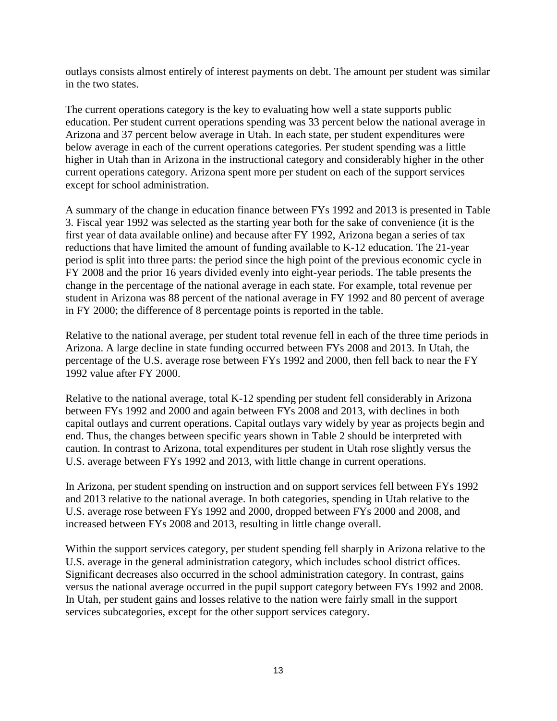outlays consists almost entirely of interest payments on debt. The amount per student was similar in the two states.

The current operations category is the key to evaluating how well a state supports public education. Per student current operations spending was 33 percent below the national average in Arizona and 37 percent below average in Utah. In each state, per student expenditures were below average in each of the current operations categories. Per student spending was a little higher in Utah than in Arizona in the instructional category and considerably higher in the other current operations category. Arizona spent more per student on each of the support services except for school administration.

A summary of the change in education finance between FYs 1992 and 2013 is presented in Table 3. Fiscal year 1992 was selected as the starting year both for the sake of convenience (it is the first year of data available online) and because after FY 1992, Arizona began a series of tax reductions that have limited the amount of funding available to K-12 education. The 21-year period is split into three parts: the period since the high point of the previous economic cycle in FY 2008 and the prior 16 years divided evenly into eight-year periods. The table presents the change in the percentage of the national average in each state. For example, total revenue per student in Arizona was 88 percent of the national average in FY 1992 and 80 percent of average in FY 2000; the difference of 8 percentage points is reported in the table.

Relative to the national average, per student total revenue fell in each of the three time periods in Arizona. A large decline in state funding occurred between FYs 2008 and 2013. In Utah, the percentage of the U.S. average rose between FYs 1992 and 2000, then fell back to near the FY 1992 value after FY 2000.

Relative to the national average, total K-12 spending per student fell considerably in Arizona between FYs 1992 and 2000 and again between FYs 2008 and 2013, with declines in both capital outlays and current operations. Capital outlays vary widely by year as projects begin and end. Thus, the changes between specific years shown in Table 2 should be interpreted with caution. In contrast to Arizona, total expenditures per student in Utah rose slightly versus the U.S. average between FYs 1992 and 2013, with little change in current operations.

In Arizona, per student spending on instruction and on support services fell between FYs 1992 and 2013 relative to the national average. In both categories, spending in Utah relative to the U.S. average rose between FYs 1992 and 2000, dropped between FYs 2000 and 2008, and increased between FYs 2008 and 2013, resulting in little change overall.

Within the support services category, per student spending fell sharply in Arizona relative to the U.S. average in the general administration category, which includes school district offices. Significant decreases also occurred in the school administration category. In contrast, gains versus the national average occurred in the pupil support category between FYs 1992 and 2008. In Utah, per student gains and losses relative to the nation were fairly small in the support services subcategories, except for the other support services category.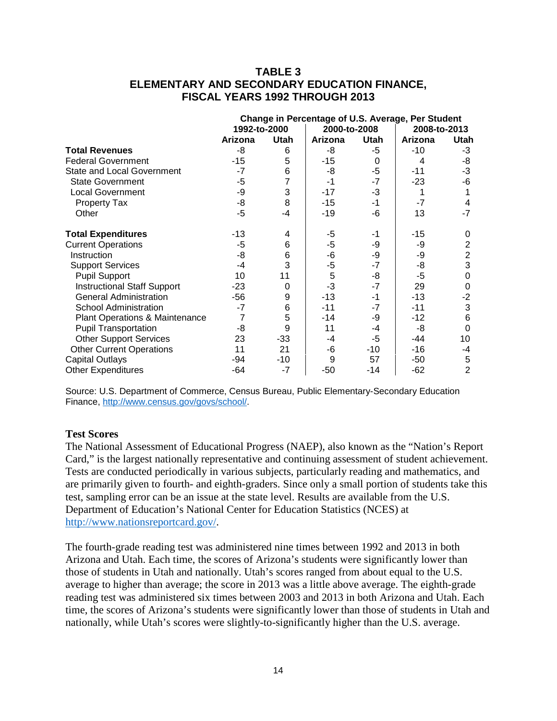## **TABLE 3 ELEMENTARY AND SECONDARY EDUCATION FINANCE, FISCAL YEARS 1992 THROUGH 2013**

|                                    | Change in Percentage of U.S. Average, Per Student |                |              |      |              |                         |
|------------------------------------|---------------------------------------------------|----------------|--------------|------|--------------|-------------------------|
|                                    | 1992-to-2000                                      |                | 2000-to-2008 |      | 2008-to-2013 |                         |
|                                    | Arizona                                           | <b>Utah</b>    | Arizona      | Utah | Arizona      | Utah                    |
| <b>Total Revenues</b>              | -8                                                | 6              | -8           | -5   | $-10$        | -3                      |
| <b>Federal Government</b>          | $-15$                                             | 5              | $-15$        | 0    | 4            | -8                      |
| <b>State and Local Government</b>  | $-7$                                              | 6              | -8           | $-5$ | -11          | $-3$                    |
| <b>State Government</b>            | $-5$                                              | $\overline{7}$ | -1           | $-7$ | $-23$        | -6                      |
| <b>Local Government</b>            | -9                                                | 3              | $-17$        | $-3$ |              |                         |
| <b>Property Tax</b>                | -8                                                | 8              | $-15$        | $-1$ | -7           | 4                       |
| Other                              | $-5$                                              | $-4$           | $-19$        | -6   | 13           | $-7$                    |
| <b>Total Expenditures</b>          | $-13$                                             | 4              | -5           | -1   | $-15$        | 0                       |
| <b>Current Operations</b>          | -5                                                | 6              | -5           | -9   | -9           | $\overline{\mathbf{c}}$ |
| Instruction                        | -8                                                | 6              | -6           | -9   | -9           | $\overline{c}$          |
| <b>Support Services</b>            | -4                                                | 3              | -5           | $-7$ | -8           | 3                       |
| <b>Pupil Support</b>               | 10                                                | 11             | 5            | -8   | -5           | $\mathbf 0$             |
| <b>Instructional Staff Support</b> | $-23$                                             | 0              | $-3$         | $-7$ | 29           | $\mathbf 0$             |
| <b>General Administration</b>      | $-56$                                             | 9              | $-13$        | $-1$ | $-13$        | $-2$                    |
| <b>School Administration</b>       | $-7$                                              | 6              | $-11$        | -7   | $-11$        | 3                       |
| Plant Operations & Maintenance     | $\overline{7}$                                    | 5              | $-14$        | -9   | $-12$        | $6\phantom{1}6$         |
| <b>Pupil Transportation</b>        | -8                                                | 9              | 11           | -4   | -8           | $\mathbf 0$             |
| <b>Other Support Services</b>      | 23                                                | $-33$          | -4           | -5   | -44          | 10                      |
| <b>Other Current Operations</b>    | 11                                                | 21             | -6           | -10  | $-16$        | -4                      |
| <b>Capital Outlays</b>             | -94                                               | $-10$          | 9            | 57   | -50          | 5                       |
| <b>Other Expenditures</b>          | -64                                               | $-7$           | -50          | -14  | $-62$        | $\overline{2}$          |

Source: U.S. Department of Commerce, Census Bureau, Public Elementary-Secondary Education Finance, [http://www.census.gov/govs/school/.](http://www.census.gov/govs/school/)

#### **Test Scores**

The National Assessment of Educational Progress (NAEP), also known as the "Nation's Report Card," is the largest nationally representative and continuing assessment of student achievement. Tests are conducted periodically in various subjects, particularly reading and mathematics, and are primarily given to fourth- and eighth-graders. Since only a small portion of students take this test, sampling error can be an issue at the state level. Results are available from the U.S. Department of Education's National Center for Education Statistics (NCES) at [http://www.nationsreportcard.gov/.](http://www.nationsreportcard.gov/)

The fourth-grade reading test was administered nine times between 1992 and 2013 in both Arizona and Utah. Each time, the scores of Arizona's students were significantly lower than those of students in Utah and nationally. Utah's scores ranged from about equal to the U.S. average to higher than average; the score in 2013 was a little above average. The eighth-grade reading test was administered six times between 2003 and 2013 in both Arizona and Utah. Each time, the scores of Arizona's students were significantly lower than those of students in Utah and nationally, while Utah's scores were slightly-to-significantly higher than the U.S. average.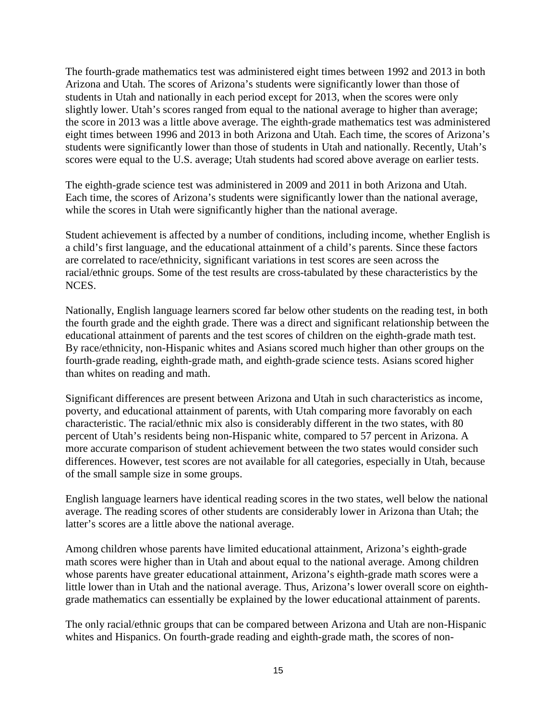The fourth-grade mathematics test was administered eight times between 1992 and 2013 in both Arizona and Utah. The scores of Arizona's students were significantly lower than those of students in Utah and nationally in each period except for 2013, when the scores were only slightly lower. Utah's scores ranged from equal to the national average to higher than average; the score in 2013 was a little above average. The eighth-grade mathematics test was administered eight times between 1996 and 2013 in both Arizona and Utah. Each time, the scores of Arizona's students were significantly lower than those of students in Utah and nationally. Recently, Utah's scores were equal to the U.S. average; Utah students had scored above average on earlier tests.

The eighth-grade science test was administered in 2009 and 2011 in both Arizona and Utah. Each time, the scores of Arizona's students were significantly lower than the national average, while the scores in Utah were significantly higher than the national average.

Student achievement is affected by a number of conditions, including income, whether English is a child's first language, and the educational attainment of a child's parents. Since these factors are correlated to race/ethnicity, significant variations in test scores are seen across the racial/ethnic groups. Some of the test results are cross-tabulated by these characteristics by the NCES.

Nationally, English language learners scored far below other students on the reading test, in both the fourth grade and the eighth grade. There was a direct and significant relationship between the educational attainment of parents and the test scores of children on the eighth-grade math test. By race/ethnicity, non-Hispanic whites and Asians scored much higher than other groups on the fourth-grade reading, eighth-grade math, and eighth-grade science tests. Asians scored higher than whites on reading and math.

Significant differences are present between Arizona and Utah in such characteristics as income, poverty, and educational attainment of parents, with Utah comparing more favorably on each characteristic. The racial/ethnic mix also is considerably different in the two states, with 80 percent of Utah's residents being non-Hispanic white, compared to 57 percent in Arizona. A more accurate comparison of student achievement between the two states would consider such differences. However, test scores are not available for all categories, especially in Utah, because of the small sample size in some groups.

English language learners have identical reading scores in the two states, well below the national average. The reading scores of other students are considerably lower in Arizona than Utah; the latter's scores are a little above the national average.

Among children whose parents have limited educational attainment, Arizona's eighth-grade math scores were higher than in Utah and about equal to the national average. Among children whose parents have greater educational attainment, Arizona's eighth-grade math scores were a little lower than in Utah and the national average. Thus, Arizona's lower overall score on eighthgrade mathematics can essentially be explained by the lower educational attainment of parents.

The only racial/ethnic groups that can be compared between Arizona and Utah are non-Hispanic whites and Hispanics. On fourth-grade reading and eighth-grade math, the scores of non-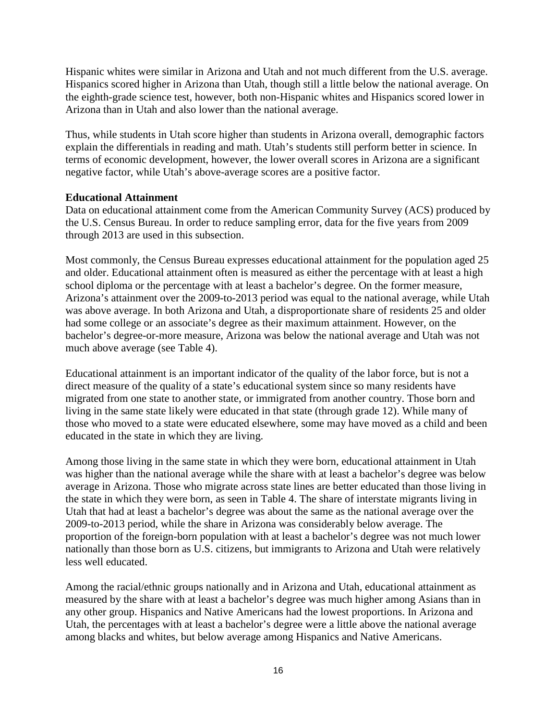Hispanic whites were similar in Arizona and Utah and not much different from the U.S. average. Hispanics scored higher in Arizona than Utah, though still a little below the national average. On the eighth-grade science test, however, both non-Hispanic whites and Hispanics scored lower in Arizona than in Utah and also lower than the national average.

Thus, while students in Utah score higher than students in Arizona overall, demographic factors explain the differentials in reading and math. Utah's students still perform better in science. In terms of economic development, however, the lower overall scores in Arizona are a significant negative factor, while Utah's above-average scores are a positive factor.

### **Educational Attainment**

Data on educational attainment come from the American Community Survey (ACS) produced by the U.S. Census Bureau. In order to reduce sampling error, data for the five years from 2009 through 2013 are used in this subsection.

Most commonly, the Census Bureau expresses educational attainment for the population aged 25 and older. Educational attainment often is measured as either the percentage with at least a high school diploma or the percentage with at least a bachelor's degree. On the former measure, Arizona's attainment over the 2009-to-2013 period was equal to the national average, while Utah was above average. In both Arizona and Utah, a disproportionate share of residents 25 and older had some college or an associate's degree as their maximum attainment. However, on the bachelor's degree-or-more measure, Arizona was below the national average and Utah was not much above average (see Table 4).

Educational attainment is an important indicator of the quality of the labor force, but is not a direct measure of the quality of a state's educational system since so many residents have migrated from one state to another state, or immigrated from another country. Those born and living in the same state likely were educated in that state (through grade 12). While many of those who moved to a state were educated elsewhere, some may have moved as a child and been educated in the state in which they are living.

Among those living in the same state in which they were born, educational attainment in Utah was higher than the national average while the share with at least a bachelor's degree was below average in Arizona. Those who migrate across state lines are better educated than those living in the state in which they were born, as seen in Table 4. The share of interstate migrants living in Utah that had at least a bachelor's degree was about the same as the national average over the 2009-to-2013 period, while the share in Arizona was considerably below average. The proportion of the foreign-born population with at least a bachelor's degree was not much lower nationally than those born as U.S. citizens, but immigrants to Arizona and Utah were relatively less well educated.

Among the racial/ethnic groups nationally and in Arizona and Utah, educational attainment as measured by the share with at least a bachelor's degree was much higher among Asians than in any other group. Hispanics and Native Americans had the lowest proportions. In Arizona and Utah, the percentages with at least a bachelor's degree were a little above the national average among blacks and whites, but below average among Hispanics and Native Americans.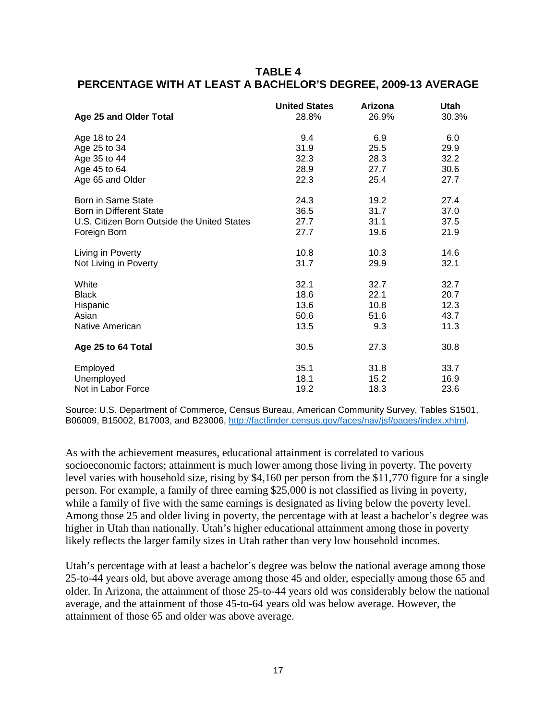## **TABLE 4 PERCENTAGE WITH AT LEAST A BACHELOR'S DEGREE, 2009-13 AVERAGE**

|                                             | <b>United States</b> | Arizona | Utah  |
|---------------------------------------------|----------------------|---------|-------|
| Age 25 and Older Total                      | 28.8%                | 26.9%   | 30.3% |
| Age 18 to 24                                | 9.4                  | 6.9     | 6.0   |
| Age 25 to 34                                | 31.9                 | 25.5    | 29.9  |
| Age 35 to 44                                | 32.3                 | 28.3    | 32.2  |
| Age 45 to 64                                | 28.9                 | 27.7    | 30.6  |
| Age 65 and Older                            | 22.3                 | 25.4    | 27.7  |
| Born in Same State                          | 24.3                 | 19.2    | 27.4  |
| <b>Born in Different State</b>              | 36.5                 | 31.7    | 37.0  |
| U.S. Citizen Born Outside the United States | 27.7                 | 31.1    | 37.5  |
| Foreign Born                                | 27.7                 | 19.6    | 21.9  |
| Living in Poverty                           | 10.8                 | 10.3    | 14.6  |
| Not Living in Poverty                       | 31.7                 | 29.9    | 32.1  |
| White                                       | 32.1                 | 32.7    | 32.7  |
| <b>Black</b>                                | 18.6                 | 22.1    | 20.7  |
| Hispanic                                    | 13.6                 | 10.8    | 12.3  |
| Asian                                       | 50.6                 | 51.6    | 43.7  |
| Native American                             | 13.5                 | 9.3     | 11.3  |
| Age 25 to 64 Total                          | 30.5                 | 27.3    | 30.8  |
| Employed                                    | 35.1                 | 31.8    | 33.7  |
| Unemployed                                  | 18.1                 | 15.2    | 16.9  |
| Not in Labor Force                          | 19.2                 | 18.3    | 23.6  |

Source: U.S. Department of Commerce, Census Bureau, American Community Survey, Tables S1501, B06009, B15002, B17003, and B23006, [http://factfinder.census.gov/faces/nav/jsf/pages/index.xhtml.](http://factfinder.census.gov/faces/nav/jsf/pages/index.xhtml)

As with the achievement measures, educational attainment is correlated to various socioeconomic factors; attainment is much lower among those living in poverty. The poverty level varies with household size, rising by \$4,160 per person from the \$11,770 figure for a single person. For example, a family of three earning \$25,000 is not classified as living in poverty, while a family of five with the same earnings is designated as living below the poverty level. Among those 25 and older living in poverty, the percentage with at least a bachelor's degree was higher in Utah than nationally. Utah's higher educational attainment among those in poverty likely reflects the larger family sizes in Utah rather than very low household incomes.

Utah's percentage with at least a bachelor's degree was below the national average among those 25-to-44 years old, but above average among those 45 and older, especially among those 65 and older. In Arizona, the attainment of those 25-to-44 years old was considerably below the national average, and the attainment of those 45-to-64 years old was below average. However, the attainment of those 65 and older was above average.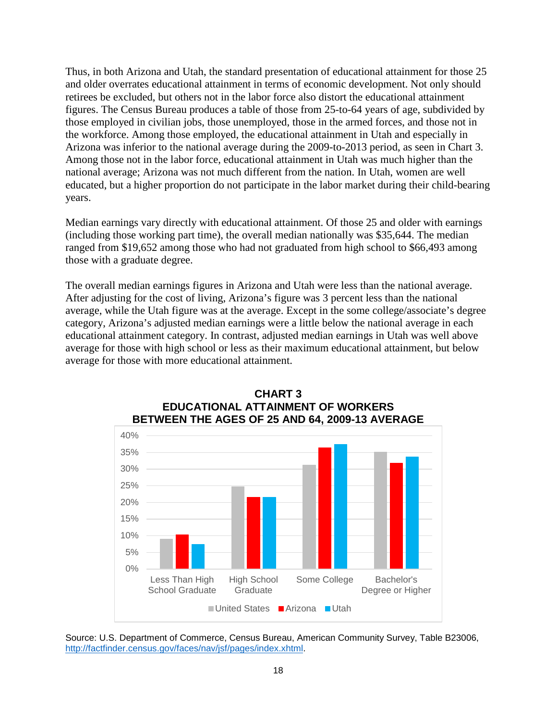Thus, in both Arizona and Utah, the standard presentation of educational attainment for those 25 and older overrates educational attainment in terms of economic development. Not only should retirees be excluded, but others not in the labor force also distort the educational attainment figures. The Census Bureau produces a table of those from 25-to-64 years of age, subdivided by those employed in civilian jobs, those unemployed, those in the armed forces, and those not in the workforce. Among those employed, the educational attainment in Utah and especially in Arizona was inferior to the national average during the 2009-to-2013 period, as seen in Chart 3. Among those not in the labor force, educational attainment in Utah was much higher than the national average; Arizona was not much different from the nation. In Utah, women are well educated, but a higher proportion do not participate in the labor market during their child-bearing years.

Median earnings vary directly with educational attainment. Of those 25 and older with earnings (including those working part time), the overall median nationally was \$35,644. The median ranged from \$19,652 among those who had not graduated from high school to \$66,493 among those with a graduate degree.

The overall median earnings figures in Arizona and Utah were less than the national average. After adjusting for the cost of living, Arizona's figure was 3 percent less than the national average, while the Utah figure was at the average. Except in the some college/associate's degree category, Arizona's adjusted median earnings were a little below the national average in each educational attainment category. In contrast, adjusted median earnings in Utah was well above average for those with high school or less as their maximum educational attainment, but below average for those with more educational attainment.



## **CHART 3 EDUCATIONAL ATTAINMENT OF WORKERS BETWEEN THE AGES OF 25 AND 64, 2009-13 AVERAGE**

Source: U.S. Department of Commerce, Census Bureau, American Community Survey, Table B23006, [http://factfinder.census.gov/faces/nav/jsf/pages/index.xhtml.](http://factfinder.census.gov/faces/nav/jsf/pages/index.xhtml)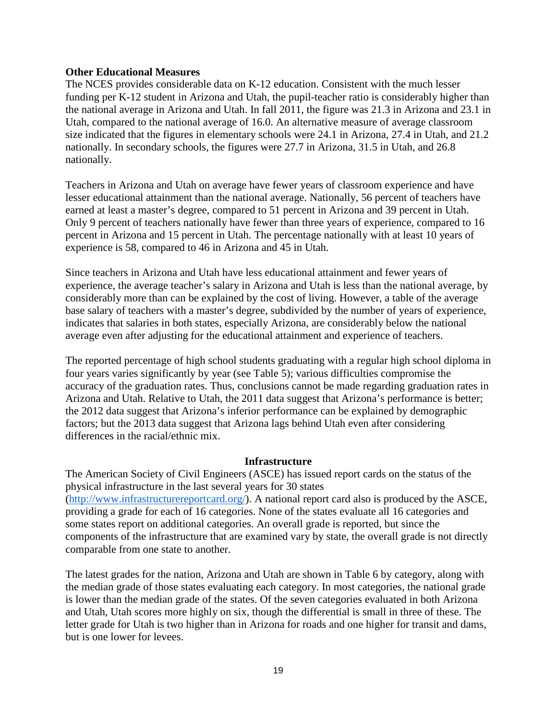#### **Other Educational Measures**

The NCES provides considerable data on K-12 education. Consistent with the much lesser funding per K-12 student in Arizona and Utah, the pupil-teacher ratio is considerably higher than the national average in Arizona and Utah. In fall 2011, the figure was 21.3 in Arizona and 23.1 in Utah, compared to the national average of 16.0. An alternative measure of average classroom size indicated that the figures in elementary schools were 24.1 in Arizona, 27.4 in Utah, and 21.2 nationally. In secondary schools, the figures were 27.7 in Arizona, 31.5 in Utah, and 26.8 nationally.

Teachers in Arizona and Utah on average have fewer years of classroom experience and have lesser educational attainment than the national average. Nationally, 56 percent of teachers have earned at least a master's degree, compared to 51 percent in Arizona and 39 percent in Utah. Only 9 percent of teachers nationally have fewer than three years of experience, compared to 16 percent in Arizona and 15 percent in Utah. The percentage nationally with at least 10 years of experience is 58, compared to 46 in Arizona and 45 in Utah.

Since teachers in Arizona and Utah have less educational attainment and fewer years of experience, the average teacher's salary in Arizona and Utah is less than the national average, by considerably more than can be explained by the cost of living. However, a table of the average base salary of teachers with a master's degree, subdivided by the number of years of experience, indicates that salaries in both states, especially Arizona, are considerably below the national average even after adjusting for the educational attainment and experience of teachers.

The reported percentage of high school students graduating with a regular high school diploma in four years varies significantly by year (see Table 5); various difficulties compromise the accuracy of the graduation rates. Thus, conclusions cannot be made regarding graduation rates in Arizona and Utah. Relative to Utah, the 2011 data suggest that Arizona's performance is better; the 2012 data suggest that Arizona's inferior performance can be explained by demographic factors; but the 2013 data suggest that Arizona lags behind Utah even after considering differences in the racial/ethnic mix.

#### **Infrastructure**

The American Society of Civil Engineers (ASCE) has issued report cards on the status of the physical infrastructure in the last several years for 30 states [\(http://www.infrastructurereportcard.org/\)](http://www.infrastructurereportcard.org/). A national report card also is produced by the ASCE, providing a grade for each of 16 categories. None of the states evaluate all 16 categories and some states report on additional categories. An overall grade is reported, but since the components of the infrastructure that are examined vary by state, the overall grade is not directly comparable from one state to another.

The latest grades for the nation, Arizona and Utah are shown in Table 6 by category, along with the median grade of those states evaluating each category. In most categories, the national grade is lower than the median grade of the states. Of the seven categories evaluated in both Arizona and Utah, Utah scores more highly on six, though the differential is small in three of these. The letter grade for Utah is two higher than in Arizona for roads and one higher for transit and dams, but is one lower for levees.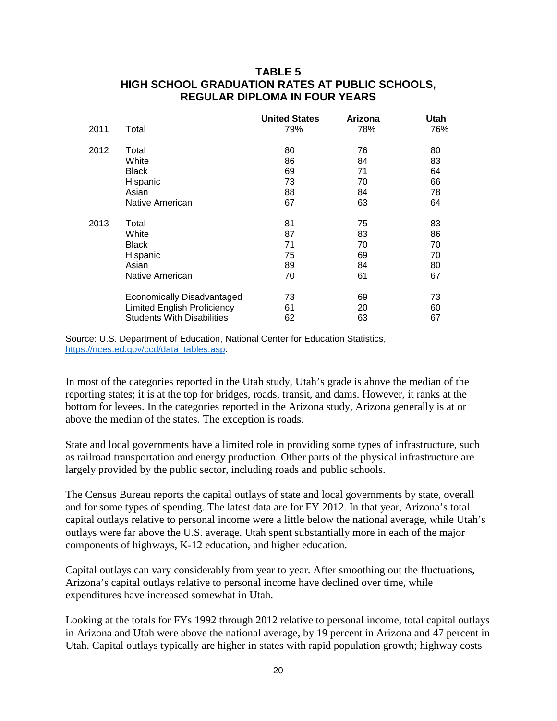## **TABLE 5 HIGH SCHOOL GRADUATION RATES AT PUBLIC SCHOOLS, REGULAR DIPLOMA IN FOUR YEARS**

|      |                                    | <b>United States</b> | Arizona | <b>Utah</b> |
|------|------------------------------------|----------------------|---------|-------------|
| 2011 | Total                              | 79%                  | 78%     | 76%         |
| 2012 | Total                              | 80                   | 76      | 80          |
|      | White                              | 86                   | 84      | 83          |
|      | <b>Black</b>                       | 69                   | 71      | 64          |
|      | Hispanic                           | 73                   | 70      | 66          |
|      | Asian                              | 88                   | 84      | 78          |
|      | Native American                    | 67                   | 63      | 64          |
| 2013 | Total                              | 81                   | 75      | 83          |
|      | White                              | 87                   | 83      | 86          |
|      | <b>Black</b>                       | 71                   | 70      | 70          |
|      | Hispanic                           | 75                   | 69      | 70          |
|      | Asian                              | 89                   | 84      | 80          |
|      | Native American                    | 70                   | 61      | 67          |
|      | <b>Economically Disadvantaged</b>  | 73                   | 69      | 73          |
|      | <b>Limited English Proficiency</b> | 61                   | 20      | 60          |
|      | <b>Students With Disabilities</b>  | 62                   | 63      | 67          |

Source: U.S. Department of Education, National Center for Education Statistics, [https://nces.ed.gov/ccd/data\\_tables.asp.](https://nces.ed.gov/ccd/data_tables.asp)

In most of the categories reported in the Utah study, Utah's grade is above the median of the reporting states; it is at the top for bridges, roads, transit, and dams. However, it ranks at the bottom for levees. In the categories reported in the Arizona study, Arizona generally is at or above the median of the states. The exception is roads.

State and local governments have a limited role in providing some types of infrastructure, such as railroad transportation and energy production. Other parts of the physical infrastructure are largely provided by the public sector, including roads and public schools.

The Census Bureau reports the capital outlays of state and local governments by state, overall and for some types of spending. The latest data are for FY 2012. In that year, Arizona's total capital outlays relative to personal income were a little below the national average, while Utah's outlays were far above the U.S. average. Utah spent substantially more in each of the major components of highways, K-12 education, and higher education.

Capital outlays can vary considerably from year to year. After smoothing out the fluctuations, Arizona's capital outlays relative to personal income have declined over time, while expenditures have increased somewhat in Utah.

Looking at the totals for FYs 1992 through 2012 relative to personal income, total capital outlays in Arizona and Utah were above the national average, by 19 percent in Arizona and 47 percent in Utah. Capital outlays typically are higher in states with rapid population growth; highway costs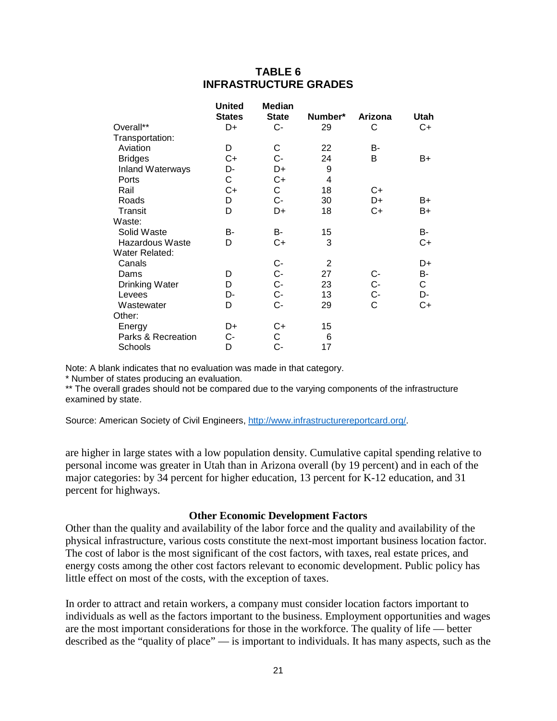## **TABLE 6 INFRASTRUCTURE GRADES**

|                        | <b>United</b><br><b>States</b> | Median<br><b>State</b> | Number*        | Arizona  | Utah         |
|------------------------|--------------------------------|------------------------|----------------|----------|--------------|
| Overall**              | D+                             | $C -$                  | 29             | С        | C+           |
| Transportation:        |                                |                        |                |          |              |
| Aviation               | D                              | С                      | 22             | В-       |              |
| <b>Bridges</b>         | $C+$                           | $C -$                  | 24             | B        | B+           |
| Inland Waterways       | D-                             | D+                     | 9              |          |              |
| Ports                  | С                              | C+                     | $\overline{4}$ |          |              |
| Rail                   | $C+$                           | С                      | 18             | C+       |              |
| Roads                  | D                              | C-                     | 30             | D+       | B+           |
| Transit                | D                              | D+                     | 18             | $C+$     | B+           |
| Waste:                 |                                |                        |                |          |              |
| Solid Waste            | B-                             | B-                     | 15             |          | B-           |
| <b>Hazardous Waste</b> | D                              | C+                     | 3              |          | C+           |
| Water Related:         |                                |                        |                |          |              |
| Canals                 |                                | $C-$                   | $\overline{2}$ |          | D+           |
| Dams                   | D                              | C-<br>C-               | 27             |          | B-           |
| <b>Drinking Water</b>  | D                              |                        | 23             | C-<br>C- | $\mathsf{C}$ |
| Levees                 | D-                             | $C -$                  | 13             | $C -$    | D-           |
| Wastewater             | D                              | C-                     | 29             | C        | C+           |
| Other:                 |                                |                        |                |          |              |
| Energy                 | D+                             | C+                     | 15             |          |              |
| Parks & Recreation     | C-                             | С                      | 6              |          |              |
| Schools                | D                              | С-                     | 17             |          |              |

Note: A blank indicates that no evaluation was made in that category.

\* Number of states producing an evaluation.

\*\* The overall grades should not be compared due to the varying components of the infrastructure examined by state.

Source: American Society of Civil Engineers, [http://www.infrastructurereportcard.org/.](http://www.infrastructurereportcard.org/)

are higher in large states with a low population density. Cumulative capital spending relative to personal income was greater in Utah than in Arizona overall (by 19 percent) and in each of the major categories: by 34 percent for higher education, 13 percent for K-12 education, and 31 percent for highways.

#### **Other Economic Development Factors**

Other than the quality and availability of the labor force and the quality and availability of the physical infrastructure, various costs constitute the next-most important business location factor. The cost of labor is the most significant of the cost factors, with taxes, real estate prices, and energy costs among the other cost factors relevant to economic development. Public policy has little effect on most of the costs, with the exception of taxes.

In order to attract and retain workers, a company must consider location factors important to individuals as well as the factors important to the business. Employment opportunities and wages are the most important considerations for those in the workforce. The quality of life — better described as the "quality of place" — is important to individuals. It has many aspects, such as the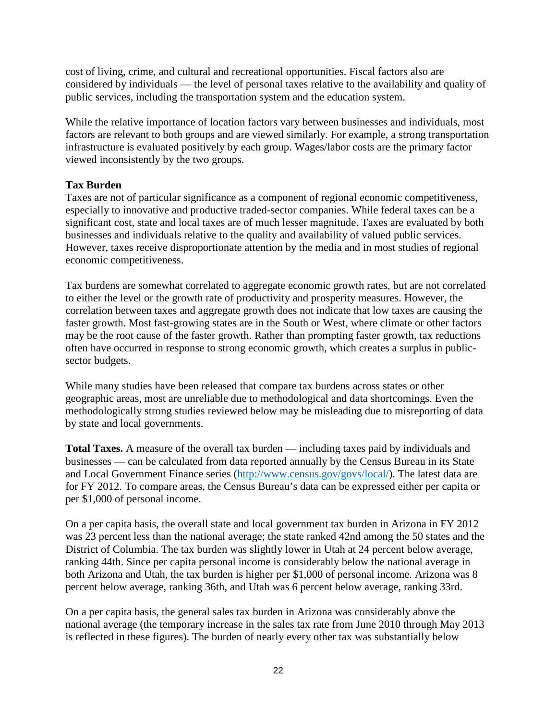cost of living, crime, and cultural and recreational opportunities. Fiscal factors also are considered by individuals — the level of personal taxes relative to the availability and quality of public services, including the transportation system and the education system.

While the relative importance of location factors vary between businesses and individuals, most factors are relevant to both groups and are viewed similarly. For example, a strong transportation infrastructure is evaluated positively by each group. Wages/labor costs are the primary factor viewed inconsistently by the two groups.

## **Tax Burden**

Taxes are not of particular significance as a component of regional economic competitiveness, especially to innovative and productive traded-sector companies. While federal taxes can be a significant cost, state and local taxes are of much lesser magnitude. Taxes are evaluated by both businesses and individuals relative to the quality and availability of valued public services. However, taxes receive disproportionate attention by the media and in most studies of regional economic competitiveness.

Tax burdens are somewhat correlated to aggregate economic growth rates, but are not correlated to either the level or the growth rate of productivity and prosperity measures. However, the correlation between taxes and aggregate growth does not indicate that low taxes are causing the faster growth. Most fast-growing states are in the South or West, where climate or other factors may be the root cause of the faster growth. Rather than prompting faster growth, tax reductions often have occurred in response to strong economic growth, which creates a surplus in publicsector budgets.

While many studies have been released that compare tax burdens across states or other geographic areas, most are unreliable due to methodological and data shortcomings. Even the methodologically strong studies reviewed below may be misleading due to misreporting of data by state and local governments.

**Total Taxes.** A measure of the overall tax burden — including taxes paid by individuals and businesses — can be calculated from data reported annually by the Census Bureau in its State and Local Government Finance series [\(http://www.census.gov/govs/local/\)](http://www.census.gov/govs/local/). The latest data are for FY 2012. To compare areas, the Census Bureau's data can be expressed either per capita or per \$1,000 of personal income.

On a per capita basis, the overall state and local government tax burden in Arizona in FY 2012 was 23 percent less than the national average; the state ranked 42nd among the 50 states and the District of Columbia. The tax burden was slightly lower in Utah at 24 percent below average, ranking 44th. Since per capita personal income is considerably below the national average in both Arizona and Utah, the tax burden is higher per \$1,000 of personal income. Arizona was 8 percent below average, ranking 36th, and Utah was 6 percent below average, ranking 33rd.

On a per capita basis, the general sales tax burden in Arizona was considerably above the national average (the temporary increase in the sales tax rate from June 2010 through May 2013 is reflected in these figures). The burden of nearly every other tax was substantially below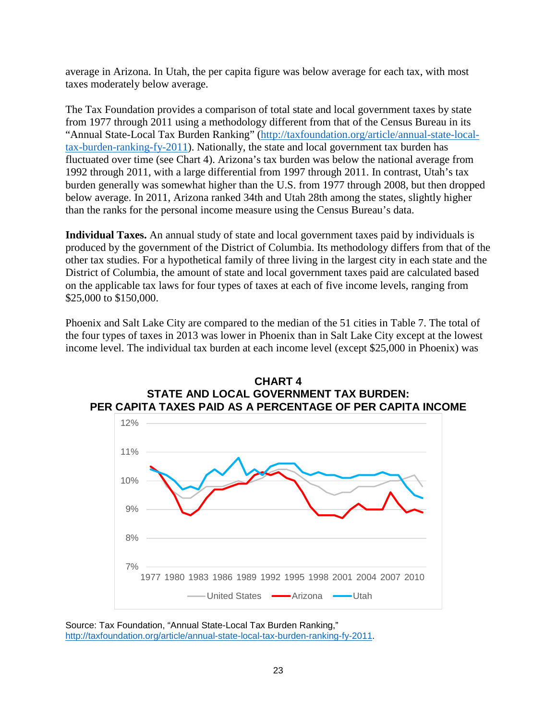average in Arizona. In Utah, the per capita figure was below average for each tax, with most taxes moderately below average.

The Tax Foundation provides a comparison of total state and local government taxes by state from 1977 through 2011 using a methodology different from that of the Census Bureau in its "Annual State-Local Tax Burden Ranking" [\(http://taxfoundation.org/article/annual-state-local](http://taxfoundation.org/article/annual-state-local-tax-burden-ranking-fy-2011)[tax-burden-ranking-fy-2011\)](http://taxfoundation.org/article/annual-state-local-tax-burden-ranking-fy-2011). Nationally, the state and local government tax burden has fluctuated over time (see Chart 4). Arizona's tax burden was below the national average from 1992 through 2011, with a large differential from 1997 through 2011. In contrast, Utah's tax burden generally was somewhat higher than the U.S. from 1977 through 2008, but then dropped below average. In 2011, Arizona ranked 34th and Utah 28th among the states, slightly higher than the ranks for the personal income measure using the Census Bureau's data.

**Individual Taxes.** An annual study of state and local government taxes paid by individuals is produced by the government of the District of Columbia. Its methodology differs from that of the other tax studies. For a hypothetical family of three living in the largest city in each state and the District of Columbia, the amount of state and local government taxes paid are calculated based on the applicable tax laws for four types of taxes at each of five income levels, ranging from \$25,000 to \$150,000.

Phoenix and Salt Lake City are compared to the median of the 51 cities in Table 7. The total of the four types of taxes in 2013 was lower in Phoenix than in Salt Lake City except at the lowest income level. The individual tax burden at each income level (except \$25,000 in Phoenix) was





Source: Tax Foundation, "Annual State-Local Tax Burden Ranking," [http://taxfoundation.org/article/annual-state-local-tax-burden-ranking-fy-2011.](http://taxfoundation.org/article/annual-state-local-tax-burden-ranking-fy-2011)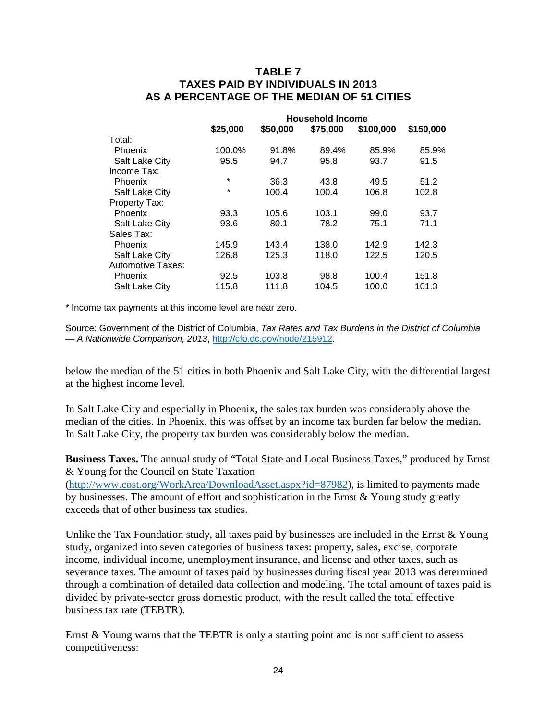## **TABLE 7 TAXES PAID BY INDIVIDUALS IN 2013 AS A PERCENTAGE OF THE MEDIAN OF 51 CITIES**

|                   | <b>Household Income</b> |          |          |           |           |  |  |  |
|-------------------|-------------------------|----------|----------|-----------|-----------|--|--|--|
|                   | \$25,000                | \$50,000 | \$75,000 | \$100,000 | \$150,000 |  |  |  |
| Total:            |                         |          |          |           |           |  |  |  |
| Phoenix           | 100.0%                  | 91.8%    | 89.4%    | 85.9%     | 85.9%     |  |  |  |
| Salt Lake City    | 95.5                    | 94.7     | 95.8     | 93.7      | 91.5      |  |  |  |
| Income Tax:       |                         |          |          |           |           |  |  |  |
| <b>Phoenix</b>    | *                       | 36.3     | 43.8     | 49.5      | 51.2      |  |  |  |
| Salt Lake City    | *                       | 100.4    | 100.4    | 106.8     | 102.8     |  |  |  |
| Property Tax:     |                         |          |          |           |           |  |  |  |
| <b>Phoenix</b>    | 93.3                    | 105.6    | 103.1    | 99.0      | 93.7      |  |  |  |
| Salt Lake City    | 93.6                    | 80.1     | 78.2     | 75.1      | 71.1      |  |  |  |
| Sales Tax:        |                         |          |          |           |           |  |  |  |
| Phoenix           | 145.9                   | 143.4    | 138.0    | 142.9     | 142.3     |  |  |  |
| Salt Lake City    | 126.8                   | 125.3    | 118.0    | 122.5     | 120.5     |  |  |  |
| Automotive Taxes: |                         |          |          |           |           |  |  |  |
| <b>Phoenix</b>    | 92.5                    | 103.8    | 98.8     | 100.4     | 151.8     |  |  |  |
| Salt Lake City    | 115.8                   | 111.8    | 104.5    | 100.0     | 101.3     |  |  |  |
|                   |                         |          |          |           |           |  |  |  |

\* Income tax payments at this income level are near zero.

Source: Government of the District of Columbia, *Tax Rates and Tax Burdens in the District of Columbia — A Nationwide Comparison, 2013*, [http://cfo.dc.gov/node/215912.](http://cfo.dc.gov/node/215912)

below the median of the 51 cities in both Phoenix and Salt Lake City, with the differential largest at the highest income level.

In Salt Lake City and especially in Phoenix, the sales tax burden was considerably above the median of the cities. In Phoenix, this was offset by an income tax burden far below the median. In Salt Lake City, the property tax burden was considerably below the median.

**Business Taxes.** The annual study of "Total State and Local Business Taxes," produced by Ernst & Young for the Council on State Taxation

[\(http://www.cost.org/WorkArea/DownloadAsset.aspx?id=87982\)](http://www.cost.org/WorkArea/DownloadAsset.aspx?id=87982), is limited to payments made by businesses. The amount of effort and sophistication in the Ernst & Young study greatly exceeds that of other business tax studies.

Unlike the Tax Foundation study, all taxes paid by businesses are included in the Ernst & Young study, organized into seven categories of business taxes: property, sales, excise, corporate income, individual income, unemployment insurance, and license and other taxes, such as severance taxes. The amount of taxes paid by businesses during fiscal year 2013 was determined through a combination of detailed data collection and modeling. The total amount of taxes paid is divided by private-sector gross domestic product, with the result called the total effective business tax rate (TEBTR).

Ernst & Young warns that the TEBTR is only a starting point and is not sufficient to assess competitiveness: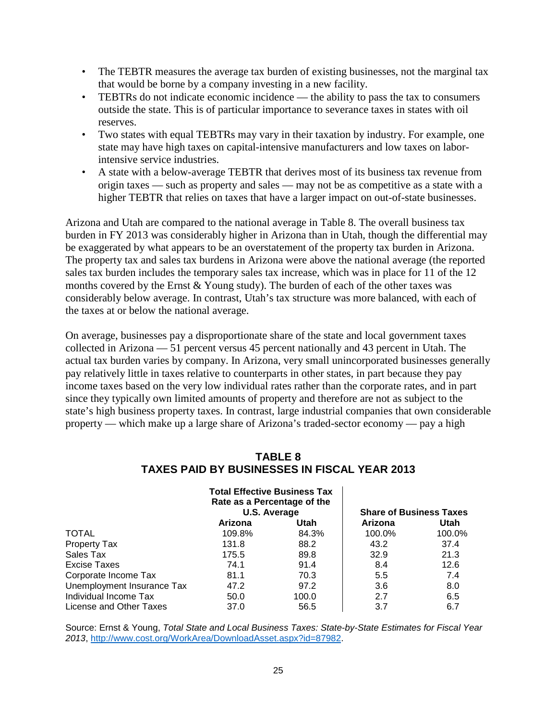- The TEBTR measures the average tax burden of existing businesses, not the marginal tax that would be borne by a company investing in a new facility.
- TEBTRs do not indicate economic incidence the ability to pass the tax to consumers outside the state. This is of particular importance to severance taxes in states with oil reserves.
- Two states with equal TEBTRs may vary in their taxation by industry. For example, one state may have high taxes on capital-intensive manufacturers and low taxes on laborintensive service industries.
- A state with a below-average TEBTR that derives most of its business tax revenue from origin taxes — such as property and sales — may not be as competitive as a state with a higher TEBTR that relies on taxes that have a larger impact on out-of-state businesses.

Arizona and Utah are compared to the national average in Table 8. The overall business tax burden in FY 2013 was considerably higher in Arizona than in Utah, though the differential may be exaggerated by what appears to be an overstatement of the property tax burden in Arizona. The property tax and sales tax burdens in Arizona were above the national average (the reported sales tax burden includes the temporary sales tax increase, which was in place for 11 of the 12 months covered by the Ernst  $&$  Young study). The burden of each of the other taxes was considerably below average. In contrast, Utah's tax structure was more balanced, with each of the taxes at or below the national average.

On average, businesses pay a disproportionate share of the state and local government taxes collected in Arizona — 51 percent versus 45 percent nationally and 43 percent in Utah. The actual tax burden varies by company. In Arizona, very small unincorporated businesses generally pay relatively little in taxes relative to counterparts in other states, in part because they pay income taxes based on the very low individual rates rather than the corporate rates, and in part since they typically own limited amounts of property and therefore are not as subject to the state's high business property taxes. In contrast, large industrial companies that own considerable property — which make up a large share of Arizona's traded-sector economy — pay a high

## **TABLE 8 TAXES PAID BY BUSINESSES IN FISCAL YEAR 2013**

|                            | <b>Total Effective Business Tax</b><br>Rate as a Percentage of the<br>U.S. Average |       | <b>Share of Business Taxes</b> |        |
|----------------------------|------------------------------------------------------------------------------------|-------|--------------------------------|--------|
|                            | Arizona                                                                            | Utah  | Arizona                        | Utah   |
| <b>TOTAL</b>               | 109.8%                                                                             | 84.3% | 100.0%                         | 100.0% |
| Property Tax               | 131.8                                                                              | 88.2  | 43.2                           | 37.4   |
| Sales Tax                  | 175.5                                                                              | 89.8  | 32.9                           | 21.3   |
| Excise Taxes               | 74.1                                                                               | 91.4  | 8.4                            | 12.6   |
| Corporate Income Tax       | 81.1                                                                               | 70.3  | 5.5                            | 7.4    |
| Unemployment Insurance Tax | 47.2                                                                               | 97.2  | 3.6                            | 8.0    |
| Individual Income Tax      | 50.0                                                                               | 100.0 | 2.7                            | 6.5    |
| License and Other Taxes    | 37.0                                                                               | 56.5  | 3.7                            | 6.7    |

Source: Ernst & Young, *Total State and Local Business Taxes: State-by-State Estimates for Fiscal Year 2013*, [http://www.cost.org/WorkArea/DownloadAsset.aspx?id=87982.](http://www.cost.org/WorkArea/DownloadAsset.aspx?id=87982)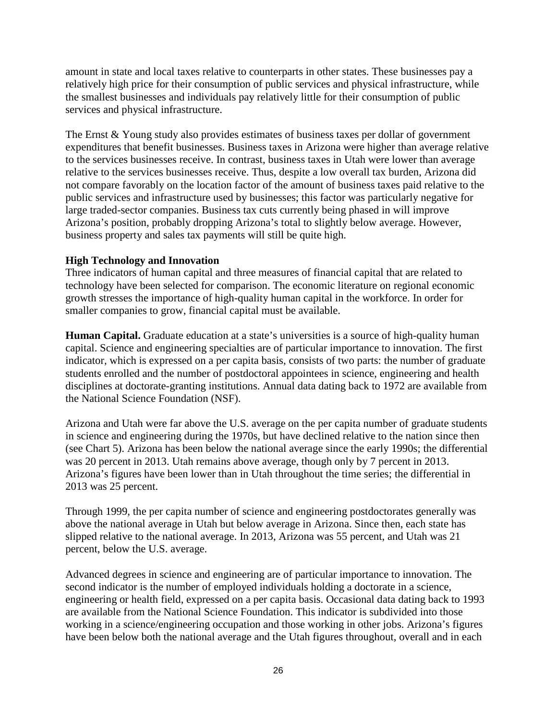amount in state and local taxes relative to counterparts in other states. These businesses pay a relatively high price for their consumption of public services and physical infrastructure, while the smallest businesses and individuals pay relatively little for their consumption of public services and physical infrastructure.

The Ernst & Young study also provides estimates of business taxes per dollar of government expenditures that benefit businesses. Business taxes in Arizona were higher than average relative to the services businesses receive. In contrast, business taxes in Utah were lower than average relative to the services businesses receive. Thus, despite a low overall tax burden, Arizona did not compare favorably on the location factor of the amount of business taxes paid relative to the public services and infrastructure used by businesses; this factor was particularly negative for large traded-sector companies. Business tax cuts currently being phased in will improve Arizona's position, probably dropping Arizona's total to slightly below average. However, business property and sales tax payments will still be quite high.

## **High Technology and Innovation**

Three indicators of human capital and three measures of financial capital that are related to technology have been selected for comparison. The economic literature on regional economic growth stresses the importance of high-quality human capital in the workforce. In order for smaller companies to grow, financial capital must be available.

**Human Capital.** Graduate education at a state's universities is a source of high-quality human capital. Science and engineering specialties are of particular importance to innovation. The first indicator, which is expressed on a per capita basis, consists of two parts: the number of graduate students enrolled and the number of postdoctoral appointees in science, engineering and health disciplines at doctorate-granting institutions. Annual data dating back to 1972 are available from the National Science Foundation (NSF).

Arizona and Utah were far above the U.S. average on the per capita number of graduate students in science and engineering during the 1970s, but have declined relative to the nation since then (see Chart 5). Arizona has been below the national average since the early 1990s; the differential was 20 percent in 2013. Utah remains above average, though only by 7 percent in 2013. Arizona's figures have been lower than in Utah throughout the time series; the differential in 2013 was 25 percent.

Through 1999, the per capita number of science and engineering postdoctorates generally was above the national average in Utah but below average in Arizona. Since then, each state has slipped relative to the national average. In 2013, Arizona was 55 percent, and Utah was 21 percent, below the U.S. average.

Advanced degrees in science and engineering are of particular importance to innovation. The second indicator is the number of employed individuals holding a doctorate in a science, engineering or health field, expressed on a per capita basis. Occasional data dating back to 1993 are available from the National Science Foundation. This indicator is subdivided into those working in a science/engineering occupation and those working in other jobs. Arizona's figures have been below both the national average and the Utah figures throughout, overall and in each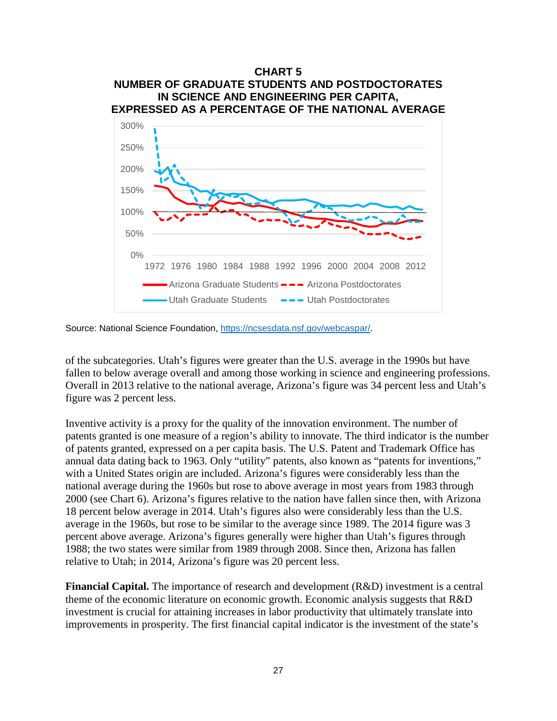

Source: National Science Foundation, [https://ncsesdata.nsf.gov/webcaspar/.](https://ncsesdata.nsf.gov/webcaspar/)

of the subcategories. Utah's figures were greater than the U.S. average in the 1990s but have fallen to below average overall and among those working in science and engineering professions. Overall in 2013 relative to the national average, Arizona's figure was 34 percent less and Utah's figure was 2 percent less.

Inventive activity is a proxy for the quality of the innovation environment. The number of patents granted is one measure of a region's ability to innovate. The third indicator is the number of patents granted, expressed on a per capita basis. The U.S. Patent and Trademark Office has annual data dating back to 1963. Only "utility" patents, also known as "patents for inventions," with a United States origin are included. Arizona's figures were considerably less than the national average during the 1960s but rose to above average in most years from 1983 through 2000 (see Chart 6). Arizona's figures relative to the nation have fallen since then, with Arizona 18 percent below average in 2014. Utah's figures also were considerably less than the U.S. average in the 1960s, but rose to be similar to the average since 1989. The 2014 figure was 3 percent above average. Arizona's figures generally were higher than Utah's figures through 1988; the two states were similar from 1989 through 2008. Since then, Arizona has fallen relative to Utah; in 2014, Arizona's figure was 20 percent less.

**Financial Capital.** The importance of research and development (R&D) investment is a central theme of the economic literature on economic growth. Economic analysis suggests that R&D investment is crucial for attaining increases in labor productivity that ultimately translate into improvements in prosperity. The first financial capital indicator is the investment of the state's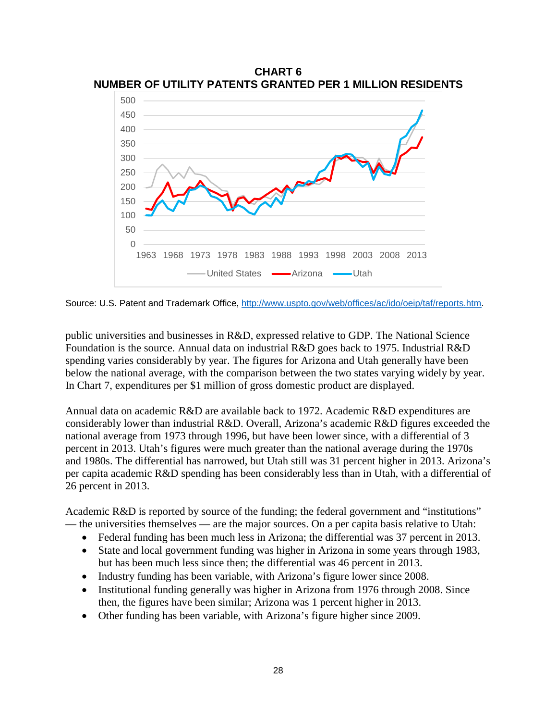

**CHART 6 NUMBER OF UTILITY PATENTS GRANTED PER 1 MILLION RESIDENTS**

Source: U.S. Patent and Trademark Office, [http://www.uspto.gov/web/offices/ac/ido/oeip/taf/reports.htm.](http://www.uspto.gov/web/offices/ac/ido/oeip/taf/reports.htm)

public universities and businesses in R&D, expressed relative to GDP. The National Science Foundation is the source. Annual data on industrial R&D goes back to 1975. Industrial R&D spending varies considerably by year. The figures for Arizona and Utah generally have been below the national average, with the comparison between the two states varying widely by year. In Chart 7, expenditures per \$1 million of gross domestic product are displayed.

Annual data on academic R&D are available back to 1972. Academic R&D expenditures are considerably lower than industrial R&D. Overall, Arizona's academic R&D figures exceeded the national average from 1973 through 1996, but have been lower since, with a differential of 3 percent in 2013. Utah's figures were much greater than the national average during the 1970s and 1980s. The differential has narrowed, but Utah still was 31 percent higher in 2013. Arizona's per capita academic R&D spending has been considerably less than in Utah, with a differential of 26 percent in 2013.

Academic R&D is reported by source of the funding; the federal government and "institutions" — the universities themselves — are the major sources. On a per capita basis relative to Utah:

- Federal funding has been much less in Arizona; the differential was 37 percent in 2013.
- State and local government funding was higher in Arizona in some years through 1983, but has been much less since then; the differential was 46 percent in 2013.
- Industry funding has been variable, with Arizona's figure lower since 2008.
- Institutional funding generally was higher in Arizona from 1976 through 2008. Since then, the figures have been similar; Arizona was 1 percent higher in 2013.
- Other funding has been variable, with Arizona's figure higher since 2009.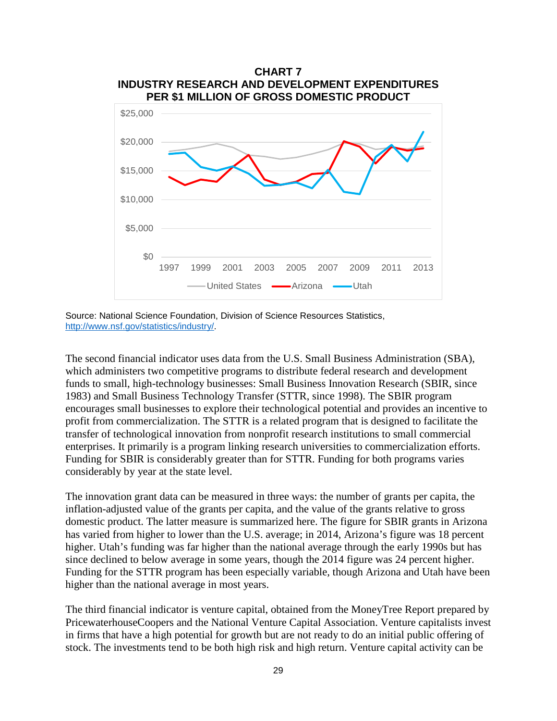

Source: National Science Foundation, Division of Science Resources Statistics, [http://www.nsf.gov/statistics/industry/.](http://www.nsf.gov/statistics/industry/)

The second financial indicator uses data from the U.S. Small Business Administration (SBA), which administers two competitive programs to distribute federal research and development funds to small, high-technology businesses: Small Business Innovation Research (SBIR, since 1983) and Small Business Technology Transfer (STTR, since 1998). The SBIR program encourages small businesses to explore their technological potential and provides an incentive to profit from commercialization. The STTR is a related program that is designed to facilitate the transfer of technological innovation from nonprofit research institutions to small commercial enterprises. It primarily is a program linking research universities to commercialization efforts. Funding for SBIR is considerably greater than for STTR. Funding for both programs varies considerably by year at the state level.

The innovation grant data can be measured in three ways: the number of grants per capita, the inflation-adjusted value of the grants per capita, and the value of the grants relative to gross domestic product. The latter measure is summarized here. The figure for SBIR grants in Arizona has varied from higher to lower than the U.S. average; in 2014, Arizona's figure was 18 percent higher. Utah's funding was far higher than the national average through the early 1990s but has since declined to below average in some years, though the 2014 figure was 24 percent higher. Funding for the STTR program has been especially variable, though Arizona and Utah have been higher than the national average in most years.

The third financial indicator is venture capital, obtained from the MoneyTree Report prepared by PricewaterhouseCoopers and the National Venture Capital Association. Venture capitalists invest in firms that have a high potential for growth but are not ready to do an initial public offering of stock. The investments tend to be both high risk and high return. Venture capital activity can be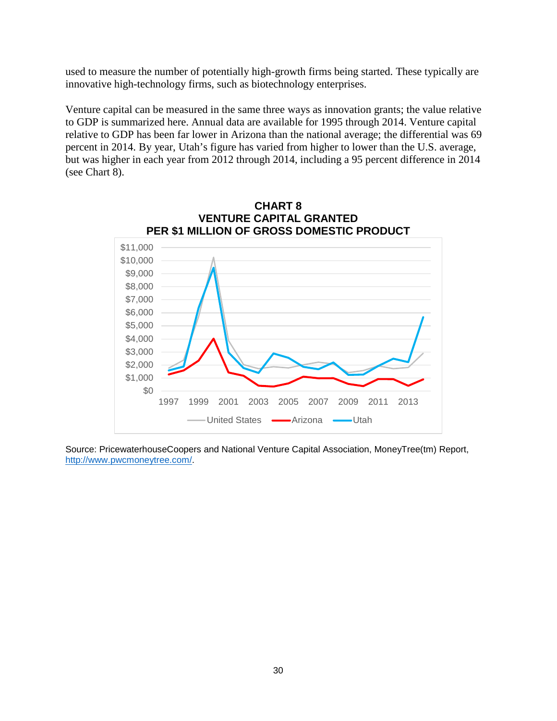used to measure the number of potentially high-growth firms being started. These typically are innovative high-technology firms, such as biotechnology enterprises.

Venture capital can be measured in the same three ways as innovation grants; the value relative to GDP is summarized here. Annual data are available for 1995 through 2014. Venture capital relative to GDP has been far lower in Arizona than the national average; the differential was 69 percent in 2014. By year, Utah's figure has varied from higher to lower than the U.S. average, but was higher in each year from 2012 through 2014, including a 95 percent difference in 2014 (see Chart 8).



Source: PricewaterhouseCoopers and National Venture Capital Association, MoneyTree(tm) Report, [http://www.pwcmoneytree.com/.](http://www.pwcmoneytree.com/)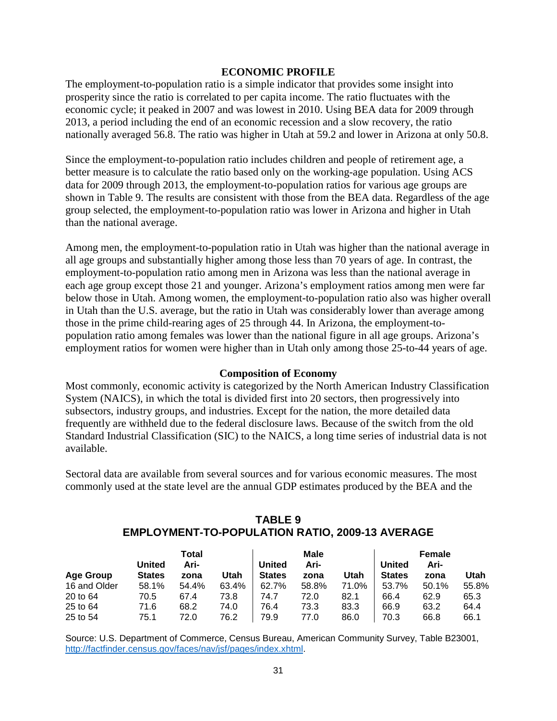#### **ECONOMIC PROFILE**

The employment-to-population ratio is a simple indicator that provides some insight into prosperity since the ratio is correlated to per capita income. The ratio fluctuates with the economic cycle; it peaked in 2007 and was lowest in 2010. Using BEA data for 2009 through 2013, a period including the end of an economic recession and a slow recovery, the ratio nationally averaged 56.8. The ratio was higher in Utah at 59.2 and lower in Arizona at only 50.8.

Since the employment-to-population ratio includes children and people of retirement age, a better measure is to calculate the ratio based only on the working-age population. Using ACS data for 2009 through 2013, the employment-to-population ratios for various age groups are shown in Table 9. The results are consistent with those from the BEA data. Regardless of the age group selected, the employment-to-population ratio was lower in Arizona and higher in Utah than the national average.

Among men, the employment-to-population ratio in Utah was higher than the national average in all age groups and substantially higher among those less than 70 years of age. In contrast, the employment-to-population ratio among men in Arizona was less than the national average in each age group except those 21 and younger. Arizona's employment ratios among men were far below those in Utah. Among women, the employment-to-population ratio also was higher overall in Utah than the U.S. average, but the ratio in Utah was considerably lower than average among those in the prime child-rearing ages of 25 through 44. In Arizona, the employment-topopulation ratio among females was lower than the national figure in all age groups. Arizona's employment ratios for women were higher than in Utah only among those 25-to-44 years of age.

### **Composition of Economy**

Most commonly, economic activity is categorized by the North American Industry Classification System (NAICS), in which the total is divided first into 20 sectors, then progressively into subsectors, industry groups, and industries. Except for the nation, the more detailed data frequently are withheld due to the federal disclosure laws. Because of the switch from the old Standard Industrial Classification (SIC) to the NAICS, a long time series of industrial data is not available.

Sectoral data are available from several sources and for various economic measures. The most commonly used at the state level are the annual GDP estimates produced by the BEA and the

|              |               | Total |       | Male          |       |       |               | <b>Female</b> |       |
|--------------|---------------|-------|-------|---------------|-------|-------|---------------|---------------|-------|
|              | United        | Ari-  |       | United        | Ari-  |       | <b>United</b> | Ari-          |       |
| Age Group    | <b>States</b> | zona  | Utah  | <b>States</b> | zona  | Utah  | <b>States</b> | zona          | Utah  |
| 16 and Older | 58.1%         | 54.4% | 63.4% | 62.7%         | 58.8% | 71.0% | 53.7%         | 50.1%         | 55.8% |
| 20 to 64     | 70.5          | 67.4  | 73.8  | 74.7          | 72.0  | 82.1  | 66.4          | 62.9          | 65.3  |
| 25 to 64     | 71.6          | 68.2  | 74.0  | 76.4          | 73.3  | 83.3  | 66.9          | 63.2          | 64.4  |
| 25 to 54     | 75.1          | 72.0  | 76.2  | 79.9          | 77.0  | 86.0  | 70.3          | 66.8          | 66.1  |

## **TABLE 9 EMPLOYMENT-TO-POPULATION RATIO, 2009-13 AVERAGE**

Source: U.S. Department of Commerce, Census Bureau, American Community Survey, Table B23001, [http://factfinder.census.gov/faces/nav/jsf/pages/index.xhtml.](http://factfinder.census.gov/faces/nav/jsf/pages/index.xhtml)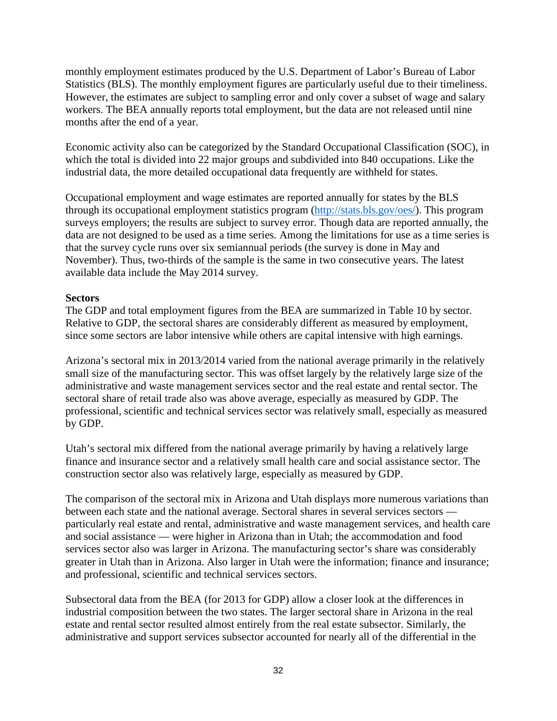monthly employment estimates produced by the U.S. Department of Labor's Bureau of Labor Statistics (BLS). The monthly employment figures are particularly useful due to their timeliness. However, the estimates are subject to sampling error and only cover a subset of wage and salary workers. The BEA annually reports total employment, but the data are not released until nine months after the end of a year.

Economic activity also can be categorized by the Standard Occupational Classification (SOC), in which the total is divided into 22 major groups and subdivided into 840 occupations. Like the industrial data, the more detailed occupational data frequently are withheld for states.

Occupational employment and wage estimates are reported annually for states by the BLS through its occupational employment statistics program [\(http://stats.bls.gov/oes/\)](http://stats.bls.gov/oes/). This program surveys employers; the results are subject to survey error. Though data are reported annually, the data are not designed to be used as a time series. Among the limitations for use as a time series is that the survey cycle runs over six semiannual periods (the survey is done in May and November). Thus, two-thirds of the sample is the same in two consecutive years. The latest available data include the May 2014 survey.

## **Sectors**

The GDP and total employment figures from the BEA are summarized in Table 10 by sector. Relative to GDP, the sectoral shares are considerably different as measured by employment, since some sectors are labor intensive while others are capital intensive with high earnings.

Arizona's sectoral mix in 2013/2014 varied from the national average primarily in the relatively small size of the manufacturing sector. This was offset largely by the relatively large size of the administrative and waste management services sector and the real estate and rental sector. The sectoral share of retail trade also was above average, especially as measured by GDP. The professional, scientific and technical services sector was relatively small, especially as measured by GDP.

Utah's sectoral mix differed from the national average primarily by having a relatively large finance and insurance sector and a relatively small health care and social assistance sector. The construction sector also was relatively large, especially as measured by GDP.

The comparison of the sectoral mix in Arizona and Utah displays more numerous variations than between each state and the national average. Sectoral shares in several services sectors particularly real estate and rental, administrative and waste management services, and health care and social assistance — were higher in Arizona than in Utah; the accommodation and food services sector also was larger in Arizona. The manufacturing sector's share was considerably greater in Utah than in Arizona. Also larger in Utah were the information; finance and insurance; and professional, scientific and technical services sectors.

Subsectoral data from the BEA (for 2013 for GDP) allow a closer look at the differences in industrial composition between the two states. The larger sectoral share in Arizona in the real estate and rental sector resulted almost entirely from the real estate subsector. Similarly, the administrative and support services subsector accounted for nearly all of the differential in the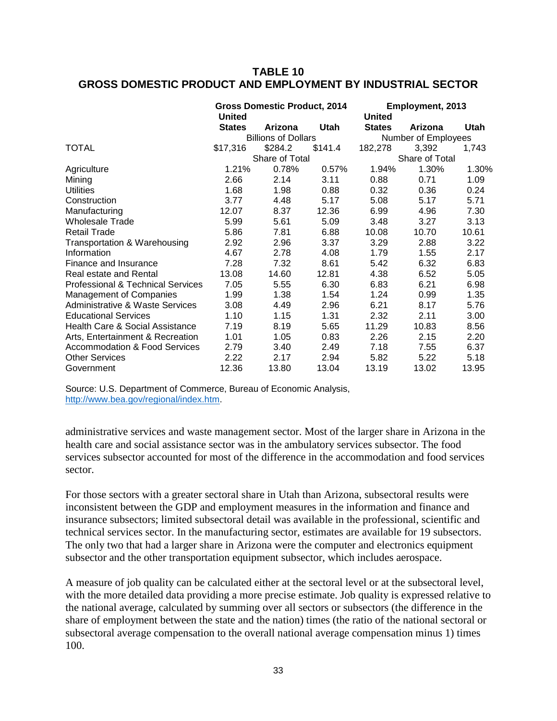## **TABLE 10 GROSS DOMESTIC PRODUCT AND EMPLOYMENT BY INDUSTRIAL SECTOR**

|                                            | <b>Gross Domestic Product, 2014</b><br><b>United</b> |         |             | Employment, 2013<br><b>United</b> |                |       |  |
|--------------------------------------------|------------------------------------------------------|---------|-------------|-----------------------------------|----------------|-------|--|
|                                            | <b>States</b>                                        | Arizona | <b>Utah</b> | <b>States</b>                     | Arizona        | Utah  |  |
|                                            | <b>Billions of Dollars</b>                           |         |             | Number of Employees               |                |       |  |
| TOTAL                                      | \$17,316                                             | \$284.2 | \$141.4     | 182,278                           | 3,392          | 1,743 |  |
|                                            | Share of Total                                       |         |             |                                   | Share of Total |       |  |
| Agriculture                                | 1.21%                                                | 0.78%   | 0.57%       | 1.94%                             | 1.30%          | 1.30% |  |
| Mining                                     | 2.66                                                 | 2.14    | 3.11        | 0.88                              | 0.71           | 1.09  |  |
| <b>Utilities</b>                           | 1.68                                                 | 1.98    | 0.88        | 0.32                              | 0.36           | 0.24  |  |
| Construction                               | 3.77                                                 | 4.48    | 5.17        | 5.08                              | 5.17           | 5.71  |  |
| Manufacturing                              | 12.07                                                | 8.37    | 12.36       | 6.99                              | 4.96           | 7.30  |  |
| <b>Wholesale Trade</b>                     | 5.99                                                 | 5.61    | 5.09        | 3.48                              | 3.27           | 3.13  |  |
| <b>Retail Trade</b>                        | 5.86                                                 | 7.81    | 6.88        | 10.08                             | 10.70          | 10.61 |  |
| Transportation & Warehousing               | 2.92                                                 | 2.96    | 3.37        | 3.29                              | 2.88           | 3.22  |  |
| Information                                | 4.67                                                 | 2.78    | 4.08        | 1.79                              | 1.55           | 2.17  |  |
| Finance and Insurance                      | 7.28                                                 | 7.32    | 8.61        | 5.42                              | 6.32           | 6.83  |  |
| Real estate and Rental                     | 13.08                                                | 14.60   | 12.81       | 4.38                              | 6.52           | 5.05  |  |
| Professional & Technical Services          | 7.05                                                 | 5.55    | 6.30        | 6.83                              | 6.21           | 6.98  |  |
| Management of Companies                    | 1.99                                                 | 1.38    | 1.54        | 1.24                              | 0.99           | 1.35  |  |
| <b>Administrative &amp; Waste Services</b> | 3.08                                                 | 4.49    | 2.96        | 6.21                              | 8.17           | 5.76  |  |
| <b>Educational Services</b>                | 1.10                                                 | 1.15    | 1.31        | 2.32                              | 2.11           | 3.00  |  |
| Health Care & Social Assistance            | 7.19                                                 | 8.19    | 5.65        | 11.29                             | 10.83          | 8.56  |  |
| Arts, Entertainment & Recreation           | 1.01                                                 | 1.05    | 0.83        | 2.26                              | 2.15           | 2.20  |  |
| <b>Accommodation &amp; Food Services</b>   | 2.79                                                 | 3.40    | 2.49        | 7.18                              | 7.55           | 6.37  |  |
| <b>Other Services</b>                      | 2.22                                                 | 2.17    | 2.94        | 5.82                              | 5.22           | 5.18  |  |
| Government                                 | 12.36                                                | 13.80   | 13.04       | 13.19                             | 13.02          | 13.95 |  |

Source: U.S. Department of Commerce, Bureau of Economic Analysis, [http://www.bea.gov/regional/index.htm.](http://www.bea.gov/regional/index.htm)

administrative services and waste management sector. Most of the larger share in Arizona in the health care and social assistance sector was in the ambulatory services subsector. The food services subsector accounted for most of the difference in the accommodation and food services sector.

For those sectors with a greater sectoral share in Utah than Arizona, subsectoral results were inconsistent between the GDP and employment measures in the information and finance and insurance subsectors; limited subsectoral detail was available in the professional, scientific and technical services sector. In the manufacturing sector, estimates are available for 19 subsectors. The only two that had a larger share in Arizona were the computer and electronics equipment subsector and the other transportation equipment subsector, which includes aerospace.

A measure of job quality can be calculated either at the sectoral level or at the subsectoral level, with the more detailed data providing a more precise estimate. Job quality is expressed relative to the national average, calculated by summing over all sectors or subsectors (the difference in the share of employment between the state and the nation) times (the ratio of the national sectoral or subsectoral average compensation to the overall national average compensation minus 1) times 100.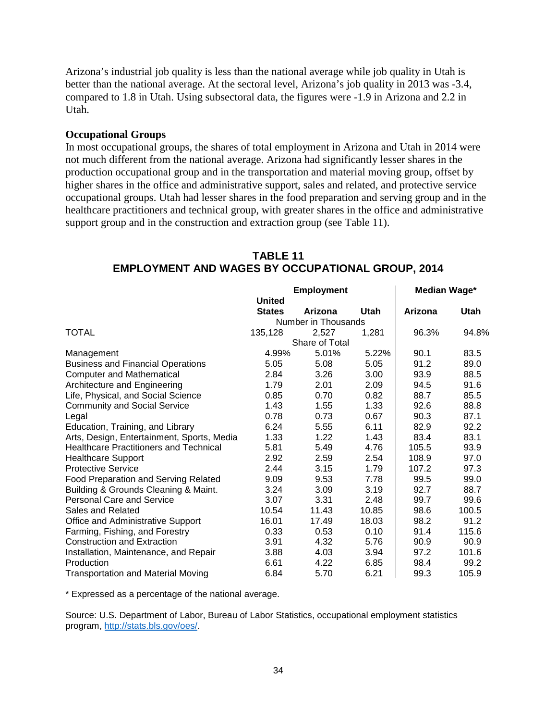Arizona's industrial job quality is less than the national average while job quality in Utah is better than the national average. At the sectoral level, Arizona's job quality in 2013 was -3.4, compared to 1.8 in Utah. Using subsectoral data, the figures were -1.9 in Arizona and 2.2 in Utah.

#### **Occupational Groups**

In most occupational groups, the shares of total employment in Arizona and Utah in 2014 were not much different from the national average. Arizona had significantly lesser shares in the production occupational group and in the transportation and material moving group, offset by higher shares in the office and administrative support, sales and related, and protective service occupational groups. Utah had lesser shares in the food preparation and serving group and in the healthcare practitioners and technical group, with greater shares in the office and administrative support group and in the construction and extraction group (see Table 11).

|                                               | <b>Employment</b> |                     |             | Median Wage* |             |
|-----------------------------------------------|-------------------|---------------------|-------------|--------------|-------------|
|                                               | <b>United</b>     |                     |             |              |             |
|                                               | <b>States</b>     | Arizona             | <b>Utah</b> | Arizona      | <b>Utah</b> |
|                                               |                   | Number in Thousands |             |              |             |
| <b>TOTAL</b>                                  | 135,128           | 2,527               | 1,281       | 96.3%        | 94.8%       |
|                                               |                   | Share of Total      |             |              |             |
| Management                                    | 4.99%             | 5.01%               | 5.22%       | 90.1         | 83.5        |
| <b>Business and Financial Operations</b>      | 5.05              | 5.08                | 5.05        | 91.2         | 89.0        |
| <b>Computer and Mathematical</b>              | 2.84              | 3.26                | 3.00        | 93.9         | 88.5        |
| Architecture and Engineering                  | 1.79              | 2.01                | 2.09        | 94.5         | 91.6        |
| Life, Physical, and Social Science            | 0.85              | 0.70                | 0.82        | 88.7         | 85.5        |
| <b>Community and Social Service</b>           | 1.43              | 1.55                | 1.33        | 92.6         | 88.8        |
| Legal                                         | 0.78              | 0.73                | 0.67        | 90.3         | 87.1        |
| Education, Training, and Library              | 6.24              | 5.55                | 6.11        | 82.9         | 92.2        |
| Arts, Design, Entertainment, Sports, Media    | 1.33              | 1.22                | 1.43        | 83.4         | 83.1        |
| <b>Healthcare Practitioners and Technical</b> | 5.81              | 5.49                | 4.76        | 105.5        | 93.9        |
| <b>Healthcare Support</b>                     | 2.92              | 2.59                | 2.54        | 108.9        | 97.0        |
| <b>Protective Service</b>                     | 2.44              | 3.15                | 1.79        | 107.2        | 97.3        |
| Food Preparation and Serving Related          | 9.09              | 9.53                | 7.78        | 99.5         | 99.0        |
| Building & Grounds Cleaning & Maint.          | 3.24              | 3.09                | 3.19        | 92.7         | 88.7        |
| <b>Personal Care and Service</b>              | 3.07              | 3.31                | 2.48        | 99.7         | 99.6        |
| Sales and Related                             | 10.54             | 11.43               | 10.85       | 98.6         | 100.5       |
| Office and Administrative Support             | 16.01             | 17.49               | 18.03       | 98.2         | 91.2        |
| Farming, Fishing, and Forestry                | 0.33              | 0.53                | 0.10        | 91.4         | 115.6       |
| <b>Construction and Extraction</b>            | 3.91              | 4.32                | 5.76        | 90.9         | 90.9        |
| Installation, Maintenance, and Repair         | 3.88              | 4.03                | 3.94        | 97.2         | 101.6       |
| Production                                    | 6.61              | 4.22                | 6.85        | 98.4         | 99.2        |
| <b>Transportation and Material Moving</b>     | 6.84              | 5.70                | 6.21        | 99.3         | 105.9       |

## **TABLE 11 EMPLOYMENT AND WAGES BY OCCUPATIONAL GROUP, 2014**

\* Expressed as a percentage of the national average.

Source: U.S. Department of Labor, Bureau of Labor Statistics, occupational employment statistics program, [http://stats.bls.gov/oes/.](http://stats.bls.gov/oes/)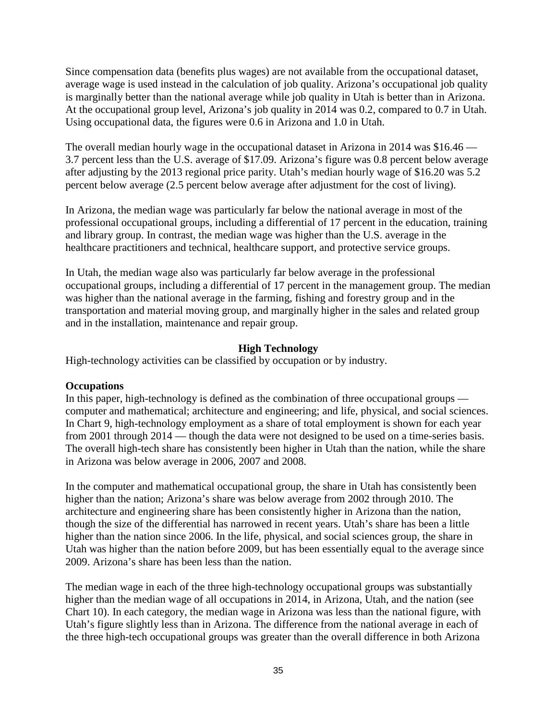Since compensation data (benefits plus wages) are not available from the occupational dataset, average wage is used instead in the calculation of job quality. Arizona's occupational job quality is marginally better than the national average while job quality in Utah is better than in Arizona. At the occupational group level, Arizona's job quality in 2014 was 0.2, compared to 0.7 in Utah. Using occupational data, the figures were 0.6 in Arizona and 1.0 in Utah.

The overall median hourly wage in the occupational dataset in Arizona in 2014 was \$16.46 — 3.7 percent less than the U.S. average of \$17.09. Arizona's figure was 0.8 percent below average after adjusting by the 2013 regional price parity. Utah's median hourly wage of \$16.20 was 5.2 percent below average (2.5 percent below average after adjustment for the cost of living).

In Arizona, the median wage was particularly far below the national average in most of the professional occupational groups, including a differential of 17 percent in the education, training and library group. In contrast, the median wage was higher than the U.S. average in the healthcare practitioners and technical, healthcare support, and protective service groups.

In Utah, the median wage also was particularly far below average in the professional occupational groups, including a differential of 17 percent in the management group. The median was higher than the national average in the farming, fishing and forestry group and in the transportation and material moving group, and marginally higher in the sales and related group and in the installation, maintenance and repair group.

## **High Technology**

High-technology activities can be classified by occupation or by industry.

### **Occupations**

In this paper, high-technology is defined as the combination of three occupational groups computer and mathematical; architecture and engineering; and life, physical, and social sciences. In Chart 9, high-technology employment as a share of total employment is shown for each year from 2001 through 2014 — though the data were not designed to be used on a time-series basis. The overall high-tech share has consistently been higher in Utah than the nation, while the share in Arizona was below average in 2006, 2007 and 2008.

In the computer and mathematical occupational group, the share in Utah has consistently been higher than the nation; Arizona's share was below average from 2002 through 2010. The architecture and engineering share has been consistently higher in Arizona than the nation, though the size of the differential has narrowed in recent years. Utah's share has been a little higher than the nation since 2006. In the life, physical, and social sciences group, the share in Utah was higher than the nation before 2009, but has been essentially equal to the average since 2009. Arizona's share has been less than the nation.

The median wage in each of the three high-technology occupational groups was substantially higher than the median wage of all occupations in 2014, in Arizona, Utah, and the nation (see Chart 10). In each category, the median wage in Arizona was less than the national figure, with Utah's figure slightly less than in Arizona. The difference from the national average in each of the three high-tech occupational groups was greater than the overall difference in both Arizona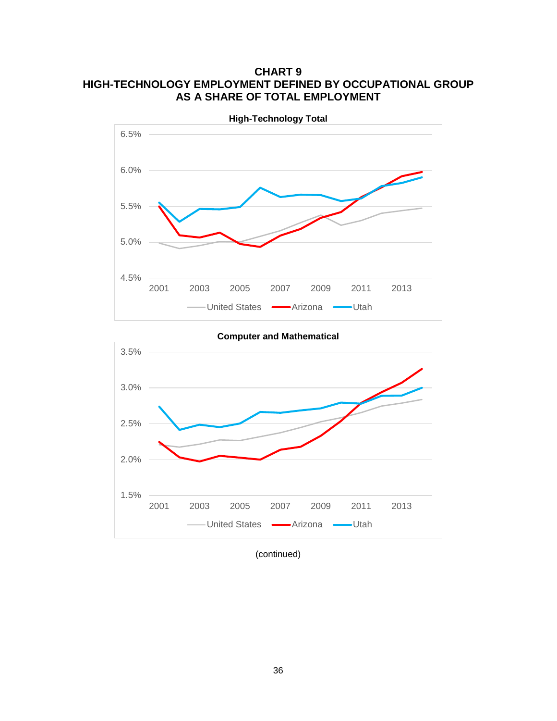## **CHART 9 HIGH-TECHNOLOGY EMPLOYMENT DEFINED BY OCCUPATIONAL GROUP AS A SHARE OF TOTAL EMPLOYMENT**



**Computer and Mathematical** 1.5% 2.0% 2.5% 3.0% 3.5% 2001 2003 2005 2007 2009 2011 2013 United States **-**Arizona **-**Utah

(continued)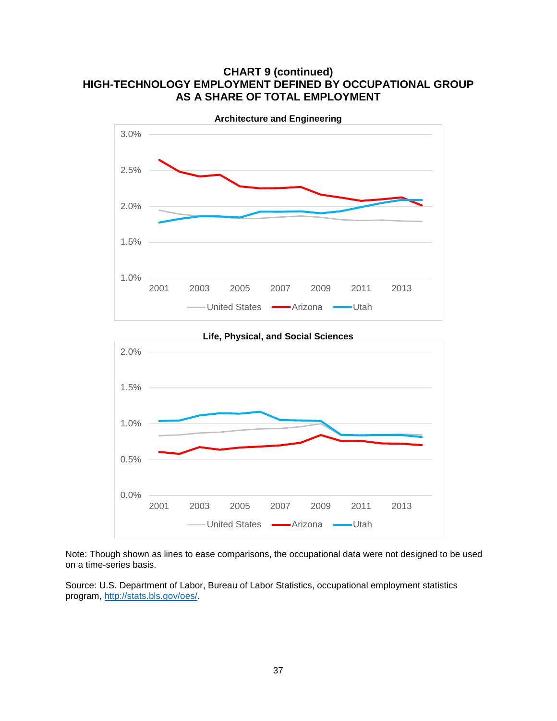## **CHART 9 (continued) HIGH-TECHNOLOGY EMPLOYMENT DEFINED BY OCCUPATIONAL GROUP AS A SHARE OF TOTAL EMPLOYMENT**



Note: Though shown as lines to ease comparisons, the occupational data were not designed to be used on a time-series basis.

2001 2003 2005 2007 2009 2011 2013

-United States - Arizona - Utah

Source: U.S. Department of Labor, Bureau of Labor Statistics, occupational employment statistics program, [http://stats.bls.gov/oes/.](http://stats.bls.gov/oes/)

0.0%

0.5%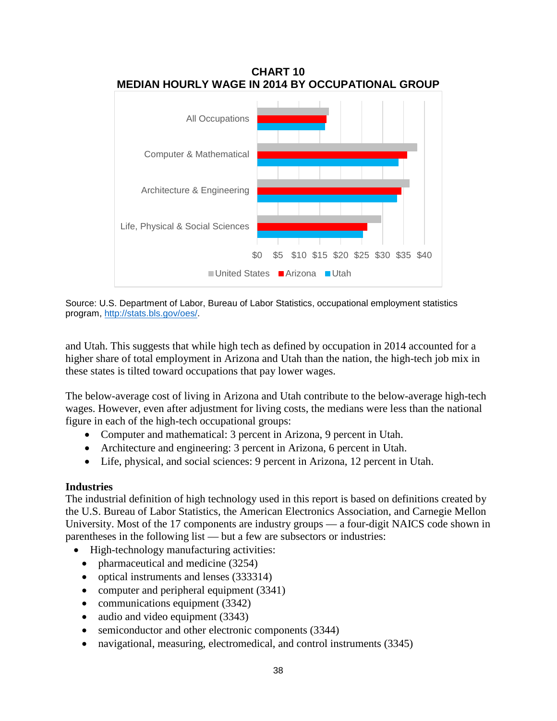

Source: U.S. Department of Labor, Bureau of Labor Statistics, occupational employment statistics program, [http://stats.bls.gov/oes/.](http://stats.bls.gov/oes/)

and Utah. This suggests that while high tech as defined by occupation in 2014 accounted for a higher share of total employment in Arizona and Utah than the nation, the high-tech job mix in these states is tilted toward occupations that pay lower wages.

The below-average cost of living in Arizona and Utah contribute to the below-average high-tech wages. However, even after adjustment for living costs, the medians were less than the national figure in each of the high-tech occupational groups:

- Computer and mathematical: 3 percent in Arizona, 9 percent in Utah.
- Architecture and engineering: 3 percent in Arizona, 6 percent in Utah.
- Life, physical, and social sciences: 9 percent in Arizona, 12 percent in Utah.

### **Industries**

The industrial definition of high technology used in this report is based on definitions created by the U.S. Bureau of Labor Statistics, the American Electronics Association, and Carnegie Mellon University. Most of the 17 components are industry groups — a four-digit NAICS code shown in parentheses in the following list — but a few are subsectors or industries:

- High-technology manufacturing activities:
	- pharmaceutical and medicine (3254)
	- optical instruments and lenses (333314)
	- computer and peripheral equipment (3341)
	- communications equipment (3342)
	- audio and video equipment (3343)
	- semiconductor and other electronic components (3344)
	- navigational, measuring, electromedical, and control instruments (3345)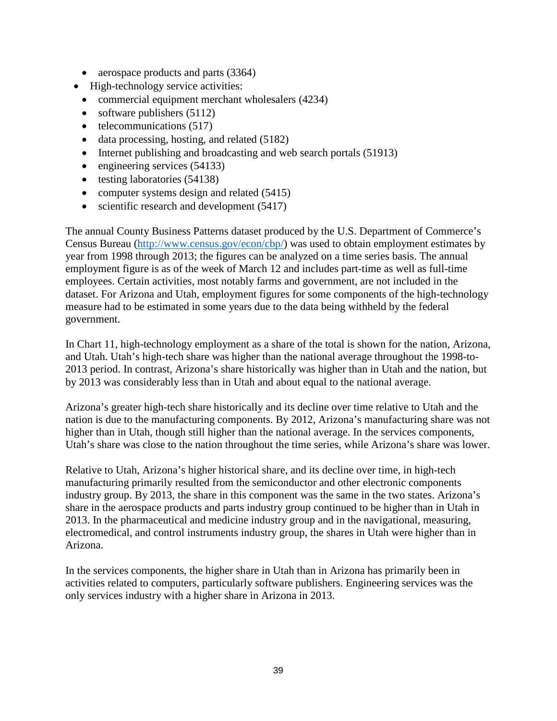- aerospace products and parts (3364)
- High-technology service activities:
	- commercial equipment merchant wholesalers (4234)
	- software publishers (5112)
	- telecommunications (517)
	- data processing, hosting, and related (5182)
	- Internet publishing and broadcasting and web search portals (51913)
	- engineering services (54133)
	- testing laboratories (54138)
	- computer systems design and related (5415)
	- scientific research and development (5417)

The annual County Business Patterns dataset produced by the U.S. Department of Commerce's Census Bureau [\(http://www.census.gov/econ/cbp/\)](http://www.census.gov/econ/cbp/) was used to obtain employment estimates by year from 1998 through 2013; the figures can be analyzed on a time series basis. The annual employment figure is as of the week of March 12 and includes part-time as well as full-time employees. Certain activities, most notably farms and government, are not included in the dataset. For Arizona and Utah, employment figures for some components of the high-technology measure had to be estimated in some years due to the data being withheld by the federal government.

In Chart 11, high-technology employment as a share of the total is shown for the nation, Arizona, and Utah. Utah's high-tech share was higher than the national average throughout the 1998-to-2013 period. In contrast, Arizona's share historically was higher than in Utah and the nation, but by 2013 was considerably less than in Utah and about equal to the national average.

Arizona's greater high-tech share historically and its decline over time relative to Utah and the nation is due to the manufacturing components. By 2012, Arizona's manufacturing share was not higher than in Utah, though still higher than the national average. In the services components, Utah's share was close to the nation throughout the time series, while Arizona's share was lower.

Relative to Utah, Arizona's higher historical share, and its decline over time, in high-tech manufacturing primarily resulted from the semiconductor and other electronic components industry group. By 2013, the share in this component was the same in the two states. Arizona's share in the aerospace products and parts industry group continued to be higher than in Utah in 2013. In the pharmaceutical and medicine industry group and in the navigational, measuring, electromedical, and control instruments industry group, the shares in Utah were higher than in Arizona.

In the services components, the higher share in Utah than in Arizona has primarily been in activities related to computers, particularly software publishers. Engineering services was the only services industry with a higher share in Arizona in 2013.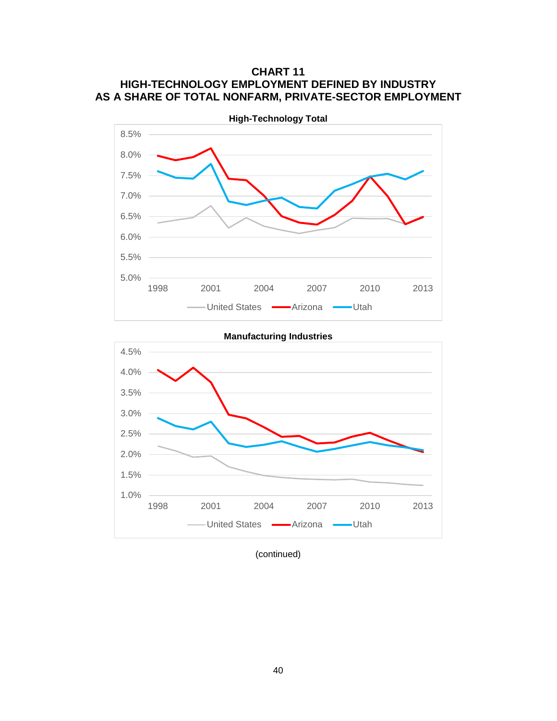## **CHART 11 HIGH-TECHNOLOGY EMPLOYMENT DEFINED BY INDUSTRY AS A SHARE OF TOTAL NONFARM, PRIVATE-SECTOR EMPLOYMENT**



**Manufacturing Industries** 1.0% 1.5% 2.0% 2.5% 3.0% 3.5% 4.0% 4.5% 1998 2001 2004 2007 2010 2013 - United States - Arizona - Utah

(continued)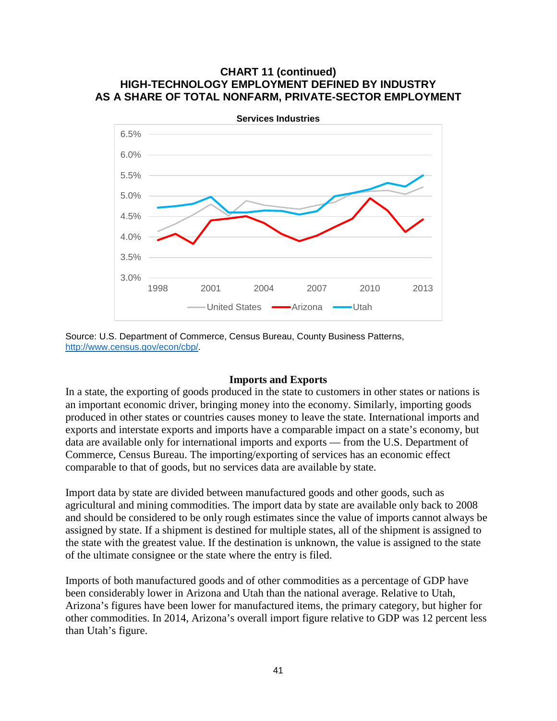## **CHART 11 (continued) HIGH-TECHNOLOGY EMPLOYMENT DEFINED BY INDUSTRY AS A SHARE OF TOTAL NONFARM, PRIVATE-SECTOR EMPLOYMENT**



Source: U.S. Department of Commerce, Census Bureau, County Business Patterns, [http://www.census.gov/econ/cbp/.](http://www.census.gov/econ/cbp/)

### **Imports and Exports**

In a state, the exporting of goods produced in the state to customers in other states or nations is an important economic driver, bringing money into the economy. Similarly, importing goods produced in other states or countries causes money to leave the state. International imports and exports and interstate exports and imports have a comparable impact on a state's economy, but data are available only for international imports and exports — from the U.S. Department of Commerce, Census Bureau. The importing/exporting of services has an economic effect comparable to that of goods, but no services data are available by state.

Import data by state are divided between manufactured goods and other goods, such as agricultural and mining commodities. The import data by state are available only back to 2008 and should be considered to be only rough estimates since the value of imports cannot always be assigned by state. If a shipment is destined for multiple states, all of the shipment is assigned to the state with the greatest value. If the destination is unknown, the value is assigned to the state of the ultimate consignee or the state where the entry is filed.

Imports of both manufactured goods and of other commodities as a percentage of GDP have been considerably lower in Arizona and Utah than the national average. Relative to Utah, Arizona's figures have been lower for manufactured items, the primary category, but higher for other commodities. In 2014, Arizona's overall import figure relative to GDP was 12 percent less than Utah's figure.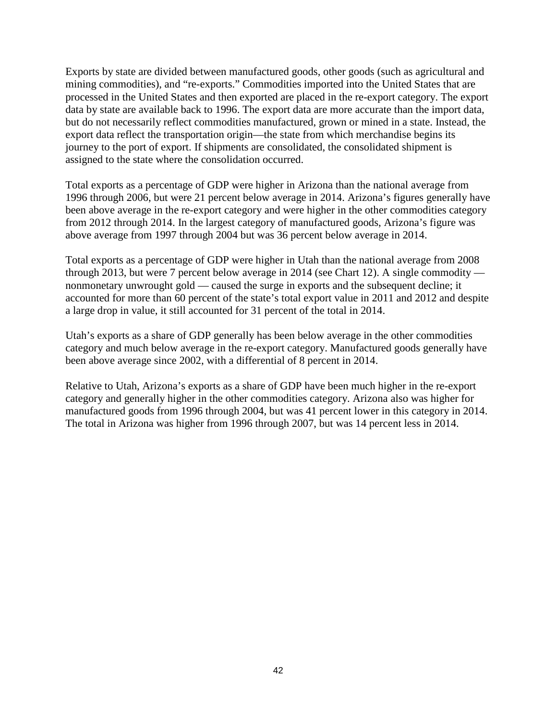Exports by state are divided between manufactured goods, other goods (such as agricultural and mining commodities), and "re-exports." Commodities imported into the United States that are processed in the United States and then exported are placed in the re-export category. The export data by state are available back to 1996. The export data are more accurate than the import data, but do not necessarily reflect commodities manufactured, grown or mined in a state. Instead, the export data reflect the transportation origin—the state from which merchandise begins its journey to the port of export. If shipments are consolidated, the consolidated shipment is assigned to the state where the consolidation occurred.

Total exports as a percentage of GDP were higher in Arizona than the national average from 1996 through 2006, but were 21 percent below average in 2014. Arizona's figures generally have been above average in the re-export category and were higher in the other commodities category from 2012 through 2014. In the largest category of manufactured goods, Arizona's figure was above average from 1997 through 2004 but was 36 percent below average in 2014.

Total exports as a percentage of GDP were higher in Utah than the national average from 2008 through 2013, but were 7 percent below average in 2014 (see Chart 12). A single commodity nonmonetary unwrought gold — caused the surge in exports and the subsequent decline; it accounted for more than 60 percent of the state's total export value in 2011 and 2012 and despite a large drop in value, it still accounted for 31 percent of the total in 2014.

Utah's exports as a share of GDP generally has been below average in the other commodities category and much below average in the re-export category. Manufactured goods generally have been above average since 2002, with a differential of 8 percent in 2014.

Relative to Utah, Arizona's exports as a share of GDP have been much higher in the re-export category and generally higher in the other commodities category. Arizona also was higher for manufactured goods from 1996 through 2004, but was 41 percent lower in this category in 2014. The total in Arizona was higher from 1996 through 2007, but was 14 percent less in 2014.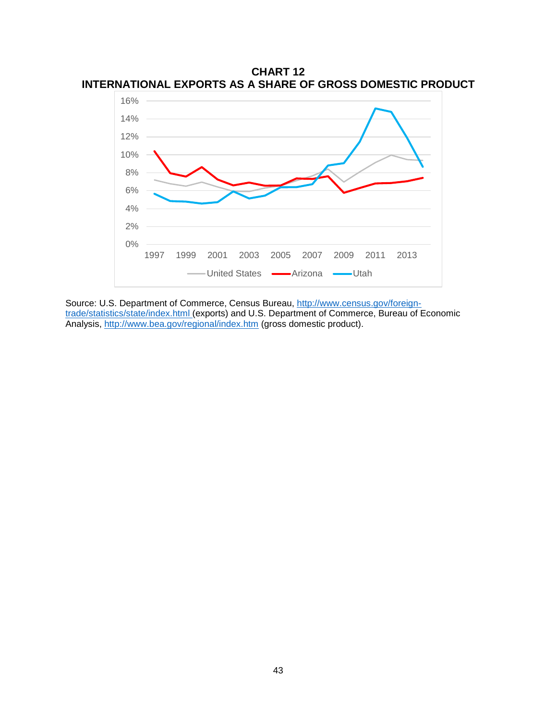

**CHART 12 INTERNATIONAL EXPORTS AS A SHARE OF GROSS DOMESTIC PRODUCT**

Source: U.S. Department of Commerce, Census Bureau, [http://www.census.gov/foreign](http://www.census.gov/foreign-trade/statistics/state/index.html)[trade/statistics/state/index.html](http://www.census.gov/foreign-trade/statistics/state/index.html) (exports) and U.S. Department of Commerce, Bureau of Economic Analysis,<http://www.bea.gov/regional/index.htm> (gross domestic product).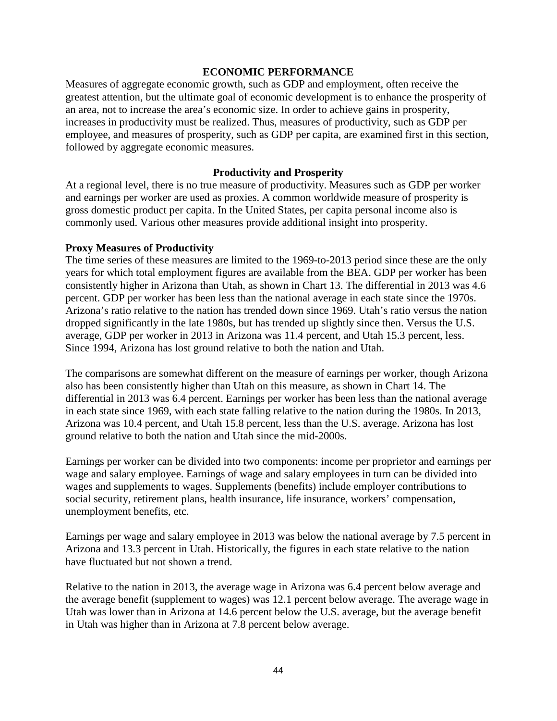#### **ECONOMIC PERFORMANCE**

Measures of aggregate economic growth, such as GDP and employment, often receive the greatest attention, but the ultimate goal of economic development is to enhance the prosperity of an area, not to increase the area's economic size. In order to achieve gains in prosperity, increases in productivity must be realized. Thus, measures of productivity, such as GDP per employee, and measures of prosperity, such as GDP per capita, are examined first in this section, followed by aggregate economic measures.

#### **Productivity and Prosperity**

At a regional level, there is no true measure of productivity. Measures such as GDP per worker and earnings per worker are used as proxies. A common worldwide measure of prosperity is gross domestic product per capita. In the United States, per capita personal income also is commonly used. Various other measures provide additional insight into prosperity.

#### **Proxy Measures of Productivity**

The time series of these measures are limited to the 1969-to-2013 period since these are the only years for which total employment figures are available from the BEA. GDP per worker has been consistently higher in Arizona than Utah, as shown in Chart 13. The differential in 2013 was 4.6 percent. GDP per worker has been less than the national average in each state since the 1970s. Arizona's ratio relative to the nation has trended down since 1969. Utah's ratio versus the nation dropped significantly in the late 1980s, but has trended up slightly since then. Versus the U.S. average, GDP per worker in 2013 in Arizona was 11.4 percent, and Utah 15.3 percent, less. Since 1994, Arizona has lost ground relative to both the nation and Utah.

The comparisons are somewhat different on the measure of earnings per worker, though Arizona also has been consistently higher than Utah on this measure, as shown in Chart 14. The differential in 2013 was 6.4 percent. Earnings per worker has been less than the national average in each state since 1969, with each state falling relative to the nation during the 1980s. In 2013, Arizona was 10.4 percent, and Utah 15.8 percent, less than the U.S. average. Arizona has lost ground relative to both the nation and Utah since the mid-2000s.

Earnings per worker can be divided into two components: income per proprietor and earnings per wage and salary employee. Earnings of wage and salary employees in turn can be divided into wages and supplements to wages. Supplements (benefits) include employer contributions to social security, retirement plans, health insurance, life insurance, workers' compensation, unemployment benefits, etc.

Earnings per wage and salary employee in 2013 was below the national average by 7.5 percent in Arizona and 13.3 percent in Utah. Historically, the figures in each state relative to the nation have fluctuated but not shown a trend.

Relative to the nation in 2013, the average wage in Arizona was 6.4 percent below average and the average benefit (supplement to wages) was 12.1 percent below average. The average wage in Utah was lower than in Arizona at 14.6 percent below the U.S. average, but the average benefit in Utah was higher than in Arizona at 7.8 percent below average.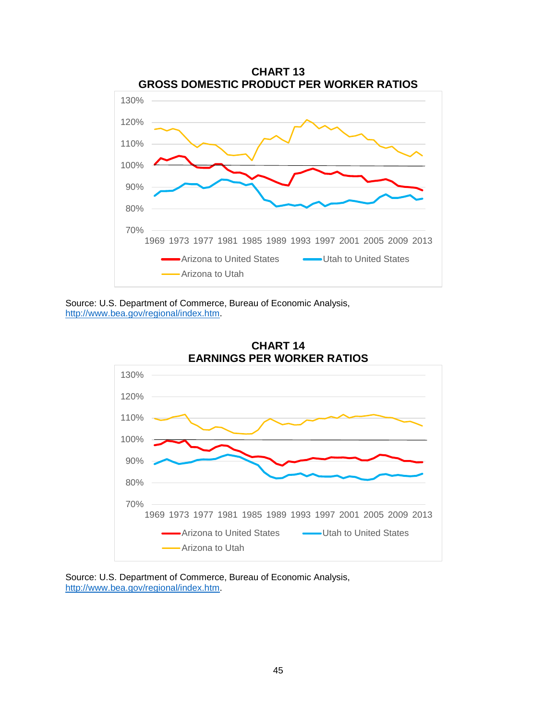







Source: U.S. Department of Commerce, Bureau of Economic Analysis, [http://www.bea.gov/regional/index.htm.](http://www.bea.gov/regional/index.htm)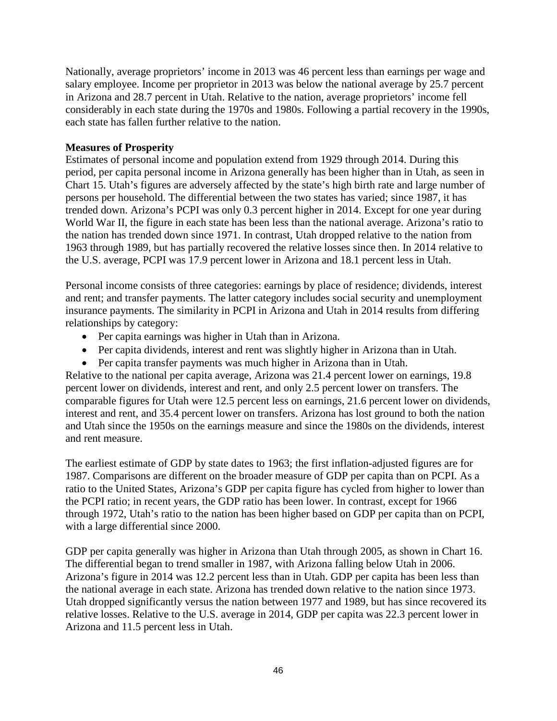Nationally, average proprietors' income in 2013 was 46 percent less than earnings per wage and salary employee. Income per proprietor in 2013 was below the national average by 25.7 percent in Arizona and 28.7 percent in Utah. Relative to the nation, average proprietors' income fell considerably in each state during the 1970s and 1980s. Following a partial recovery in the 1990s, each state has fallen further relative to the nation.

## **Measures of Prosperity**

Estimates of personal income and population extend from 1929 through 2014. During this period, per capita personal income in Arizona generally has been higher than in Utah, as seen in Chart 15. Utah's figures are adversely affected by the state's high birth rate and large number of persons per household. The differential between the two states has varied; since 1987, it has trended down. Arizona's PCPI was only 0.3 percent higher in 2014. Except for one year during World War II, the figure in each state has been less than the national average. Arizona's ratio to the nation has trended down since 1971. In contrast, Utah dropped relative to the nation from 1963 through 1989, but has partially recovered the relative losses since then. In 2014 relative to the U.S. average, PCPI was 17.9 percent lower in Arizona and 18.1 percent less in Utah.

Personal income consists of three categories: earnings by place of residence; dividends, interest and rent; and transfer payments. The latter category includes social security and unemployment insurance payments. The similarity in PCPI in Arizona and Utah in 2014 results from differing relationships by category:

- Per capita earnings was higher in Utah than in Arizona.
- Per capita dividends, interest and rent was slightly higher in Arizona than in Utah.
- Per capita transfer payments was much higher in Arizona than in Utah.

Relative to the national per capita average, Arizona was 21.4 percent lower on earnings, 19.8 percent lower on dividends, interest and rent, and only 2.5 percent lower on transfers. The comparable figures for Utah were 12.5 percent less on earnings, 21.6 percent lower on dividends, interest and rent, and 35.4 percent lower on transfers. Arizona has lost ground to both the nation and Utah since the 1950s on the earnings measure and since the 1980s on the dividends, interest and rent measure.

The earliest estimate of GDP by state dates to 1963; the first inflation-adjusted figures are for 1987. Comparisons are different on the broader measure of GDP per capita than on PCPI. As a ratio to the United States, Arizona's GDP per capita figure has cycled from higher to lower than the PCPI ratio; in recent years, the GDP ratio has been lower. In contrast, except for 1966 through 1972, Utah's ratio to the nation has been higher based on GDP per capita than on PCPI, with a large differential since 2000.

GDP per capita generally was higher in Arizona than Utah through 2005, as shown in Chart 16. The differential began to trend smaller in 1987, with Arizona falling below Utah in 2006. Arizona's figure in 2014 was 12.2 percent less than in Utah. GDP per capita has been less than the national average in each state. Arizona has trended down relative to the nation since 1973. Utah dropped significantly versus the nation between 1977 and 1989, but has since recovered its relative losses. Relative to the U.S. average in 2014, GDP per capita was 22.3 percent lower in Arizona and 11.5 percent less in Utah.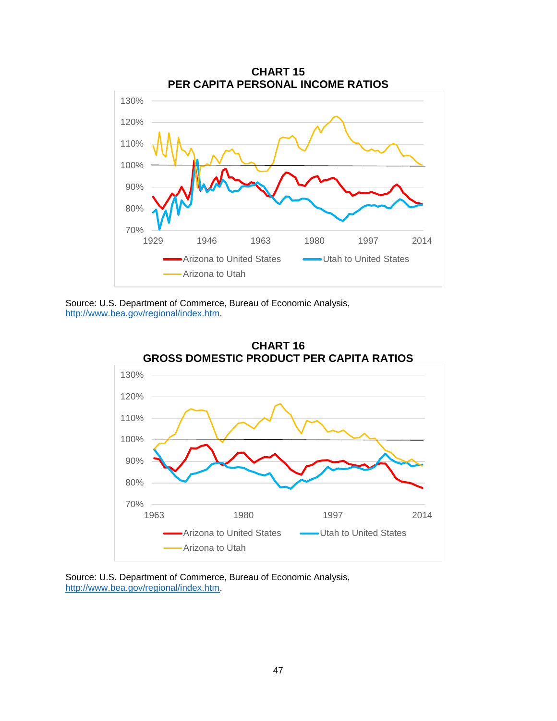





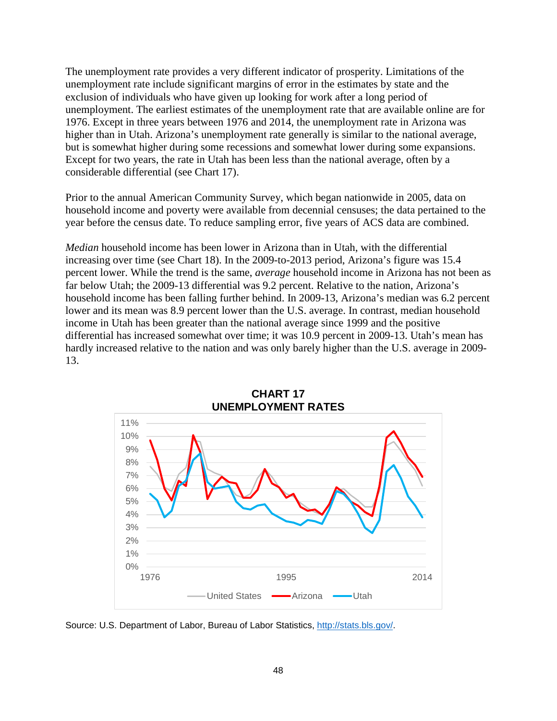The unemployment rate provides a very different indicator of prosperity. Limitations of the unemployment rate include significant margins of error in the estimates by state and the exclusion of individuals who have given up looking for work after a long period of unemployment. The earliest estimates of the unemployment rate that are available online are for 1976. Except in three years between 1976 and 2014, the unemployment rate in Arizona was higher than in Utah. Arizona's unemployment rate generally is similar to the national average, but is somewhat higher during some recessions and somewhat lower during some expansions. Except for two years, the rate in Utah has been less than the national average, often by a considerable differential (see Chart 17).

Prior to the annual American Community Survey, which began nationwide in 2005, data on household income and poverty were available from decennial censuses; the data pertained to the year before the census date. To reduce sampling error, five years of ACS data are combined.

*Median* household income has been lower in Arizona than in Utah, with the differential increasing over time (see Chart 18). In the 2009-to-2013 period, Arizona's figure was 15.4 percent lower. While the trend is the same, *average* household income in Arizona has not been as far below Utah; the 2009-13 differential was 9.2 percent. Relative to the nation, Arizona's household income has been falling further behind. In 2009-13, Arizona's median was 6.2 percent lower and its mean was 8.9 percent lower than the U.S. average. In contrast, median household income in Utah has been greater than the national average since 1999 and the positive differential has increased somewhat over time; it was 10.9 percent in 2009-13. Utah's mean has hardly increased relative to the nation and was only barely higher than the U.S. average in 2009- 13.





Source: U.S. Department of Labor, Bureau of Labor Statistics, [http://stats.bls.gov/.](http://stats.bls.gov/)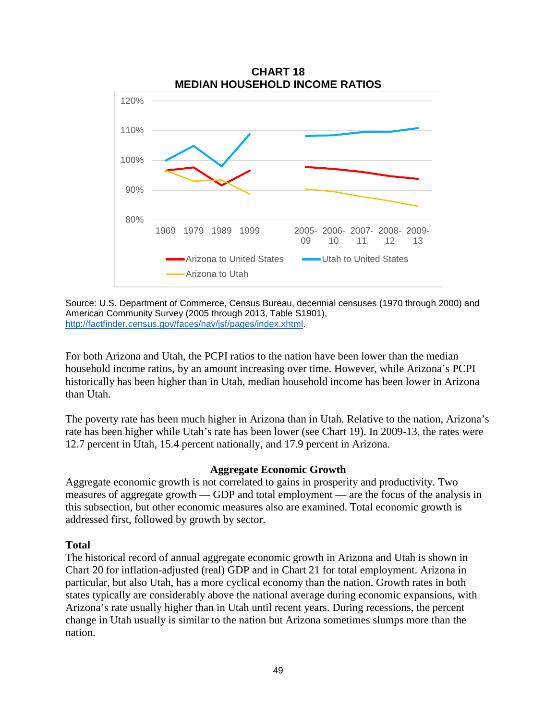

Source: U.S. Department of Commerce, Census Bureau, decennial censuses (1970 through 2000) and American Community Survey (2005 through 2013, Table S1901), [http://factfinder.census.gov/faces/nav/jsf/pages/index.xhtml.](http://factfinder.census.gov/faces/nav/jsf/pages/index.xhtml)

For both Arizona and Utah, the PCPI ratios to the nation have been lower than the median household income ratios, by an amount increasing over time. However, while Arizona's PCPI historically has been higher than in Utah, median household income has been lower in Arizona than Utah.

The poverty rate has been much higher in Arizona than in Utah. Relative to the nation, Arizona's rate has been higher while Utah's rate has been lower (see Chart 19). In 2009-13, the rates were 12.7 percent in Utah, 15.4 percent nationally, and 17.9 percent in Arizona.

#### **Aggregate Economic Growth**

Aggregate economic growth is not correlated to gains in prosperity and productivity. Two measures of aggregate growth — GDP and total employment — are the focus of the analysis in this subsection, but other economic measures also are examined. Total economic growth is addressed first, followed by growth by sector.

### **Total**

The historical record of annual aggregate economic growth in Arizona and Utah is shown in Chart 20 for inflation-adjusted (real) GDP and in Chart 21 for total employment. Arizona in particular, but also Utah, has a more cyclical economy than the nation. Growth rates in both states typically are considerably above the national average during economic expansions, with Arizona's rate usually higher than in Utah until recent years. During recessions, the percent change in Utah usually is similar to the nation but Arizona sometimes slumps more than the nation.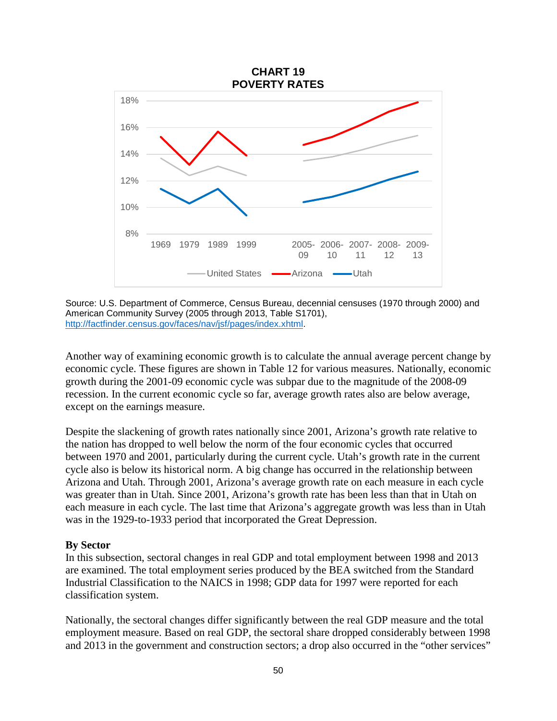

Source: U.S. Department of Commerce, Census Bureau, decennial censuses (1970 through 2000) and American Community Survey (2005 through 2013, Table S1701), [http://factfinder.census.gov/faces/nav/jsf/pages/index.xhtml.](http://factfinder.census.gov/faces/nav/jsf/pages/index.xhtml)

Another way of examining economic growth is to calculate the annual average percent change by economic cycle. These figures are shown in Table 12 for various measures. Nationally, economic growth during the 2001-09 economic cycle was subpar due to the magnitude of the 2008-09 recession. In the current economic cycle so far, average growth rates also are below average, except on the earnings measure.

Despite the slackening of growth rates nationally since 2001, Arizona's growth rate relative to the nation has dropped to well below the norm of the four economic cycles that occurred between 1970 and 2001, particularly during the current cycle. Utah's growth rate in the current cycle also is below its historical norm. A big change has occurred in the relationship between Arizona and Utah. Through 2001, Arizona's average growth rate on each measure in each cycle was greater than in Utah. Since 2001, Arizona's growth rate has been less than that in Utah on each measure in each cycle. The last time that Arizona's aggregate growth was less than in Utah was in the 1929-to-1933 period that incorporated the Great Depression.

#### **By Sector**

In this subsection, sectoral changes in real GDP and total employment between 1998 and 2013 are examined. The total employment series produced by the BEA switched from the Standard Industrial Classification to the NAICS in 1998; GDP data for 1997 were reported for each classification system.

Nationally, the sectoral changes differ significantly between the real GDP measure and the total employment measure. Based on real GDP, the sectoral share dropped considerably between 1998 and 2013 in the government and construction sectors; a drop also occurred in the "other services"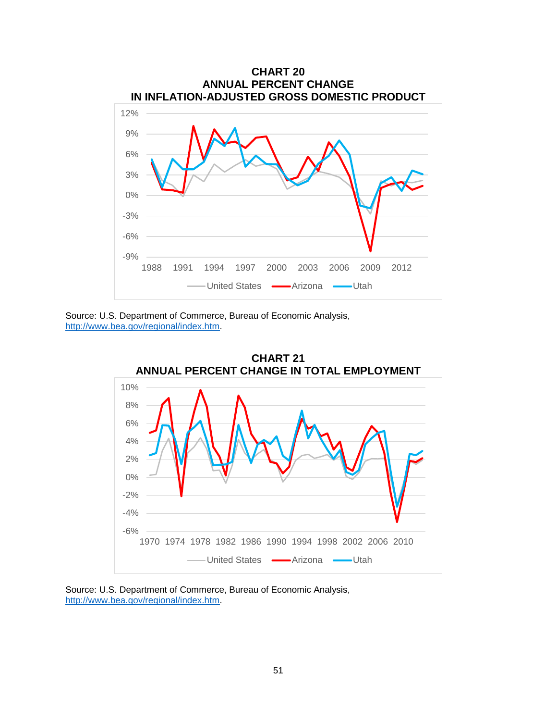





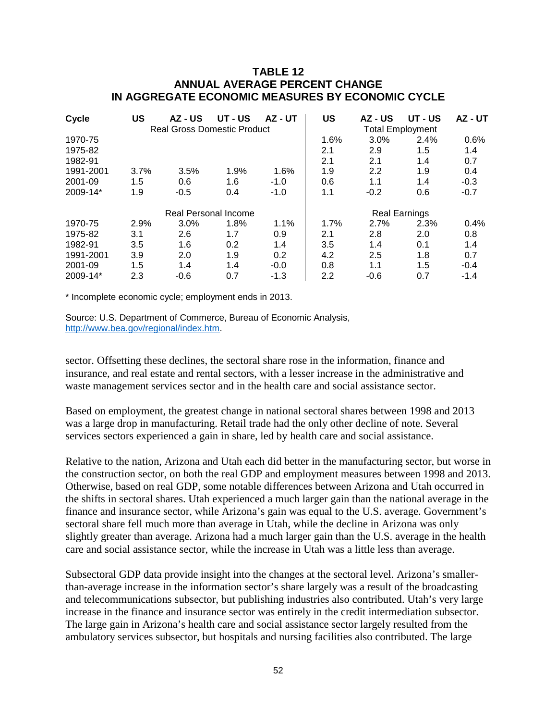## **TABLE 12 ANNUAL AVERAGE PERCENT CHANGE IN AGGREGATE ECONOMIC MEASURES BY ECONOMIC CYCLE**

| Cycle                | US                                 | AZ - US | UT - US | AZ - UT | US                      | AZ - US | UT - US | AZ - UT |
|----------------------|------------------------------------|---------|---------|---------|-------------------------|---------|---------|---------|
|                      | <b>Real Gross Domestic Product</b> |         |         |         | <b>Total Employment</b> |         |         |         |
| 1970-75              |                                    |         |         |         | 1.6%                    | 3.0%    | 2.4%    | 0.6%    |
| 1975-82              |                                    |         |         |         | 2.1                     | 2.9     | 1.5     | 1.4     |
| 1982-91              |                                    |         |         |         | 2.1                     | 2.1     | 1.4     | 0.7     |
| 1991-2001            | 3.7%                               | 3.5%    | 1.9%    | 1.6%    | 1.9                     | 2.2     | 1.9     | 0.4     |
| 2001-09              | 1.5                                | 0.6     | 1.6     | $-1.0$  | 0.6                     | 1.1     | 1.4     | $-0.3$  |
| 2009-14*             | 1.9                                | $-0.5$  | 0.4     | $-1.0$  | 1.1                     | $-0.2$  | 0.6     | $-0.7$  |
| Real Personal Income |                                    |         |         |         | <b>Real Earnings</b>    |         |         |         |
| 1970-75              | 2.9%                               | 3.0%    | 1.8%    | 1.1%    | 1.7%                    | 2.7%    | 2.3%    | 0.4%    |
| 1975-82              | 3.1                                | 2.6     | 1.7     | 0.9     | 2.1                     | 2.8     | 2.0     | 0.8     |
| 1982-91              | 3.5                                | 1.6     | 0.2     | 1.4     | 3.5                     | 1.4     | 0.1     | 1.4     |
| 1991-2001            | 3.9                                | 2.0     | 1.9     | 0.2     | 4.2                     | 2.5     | 1.8     | 0.7     |
| 2001-09              | 1.5                                | 1.4     | 1.4     | $-0.0$  | 0.8                     | 1.1     | 1.5     | $-0.4$  |
| 2009-14*             | 2.3                                | $-0.6$  | 0.7     | $-1.3$  | 2.2                     | $-0.6$  | 0.7     | $-1.4$  |

\* Incomplete economic cycle; employment ends in 2013.

Source: U.S. Department of Commerce, Bureau of Economic Analysis, [http://www.bea.gov/regional/index.htm.](http://www.bea.gov/regional/index.htm)

sector. Offsetting these declines, the sectoral share rose in the information, finance and insurance, and real estate and rental sectors, with a lesser increase in the administrative and waste management services sector and in the health care and social assistance sector.

Based on employment, the greatest change in national sectoral shares between 1998 and 2013 was a large drop in manufacturing. Retail trade had the only other decline of note. Several services sectors experienced a gain in share, led by health care and social assistance.

Relative to the nation, Arizona and Utah each did better in the manufacturing sector, but worse in the construction sector, on both the real GDP and employment measures between 1998 and 2013. Otherwise, based on real GDP, some notable differences between Arizona and Utah occurred in the shifts in sectoral shares. Utah experienced a much larger gain than the national average in the finance and insurance sector, while Arizona's gain was equal to the U.S. average. Government's sectoral share fell much more than average in Utah, while the decline in Arizona was only slightly greater than average. Arizona had a much larger gain than the U.S. average in the health care and social assistance sector, while the increase in Utah was a little less than average.

Subsectoral GDP data provide insight into the changes at the sectoral level. Arizona's smallerthan-average increase in the information sector's share largely was a result of the broadcasting and telecommunications subsector, but publishing industries also contributed. Utah's very large increase in the finance and insurance sector was entirely in the credit intermediation subsector. The large gain in Arizona's health care and social assistance sector largely resulted from the ambulatory services subsector, but hospitals and nursing facilities also contributed. The large